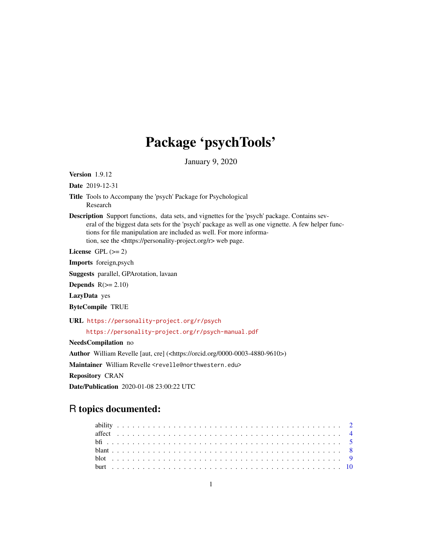# Package 'psychTools'

January 9, 2020

<span id="page-0-0"></span>Version 1.9.12

Date 2019-12-31

- Title Tools to Accompany the 'psych' Package for Psychological Research
- Description Support functions, data sets, and vignettes for the 'psych' package. Contains several of the biggest data sets for the 'psych' package as well as one vignette. A few helper functions for file manipulation are included as well. For more information, see the <https://personality-project.org/r> web page.

License GPL  $(>= 2)$ 

Imports foreign,psych

Suggests parallel, GPArotation, lavaan

Depends  $R(>= 2.10)$ 

LazyData yes

ByteCompile TRUE

URL <https://personality-project.org/r/psych>

<https://personality-project.org/r/psych-manual.pdf>

NeedsCompilation no

Author William Revelle [aut, cre] (<https://orcid.org/0000-0003-4880-9610>)

Maintainer William Revelle <revelle@northwestern.edu>

Repository CRAN

Date/Publication 2020-01-08 23:00:22 UTC

## R topics documented: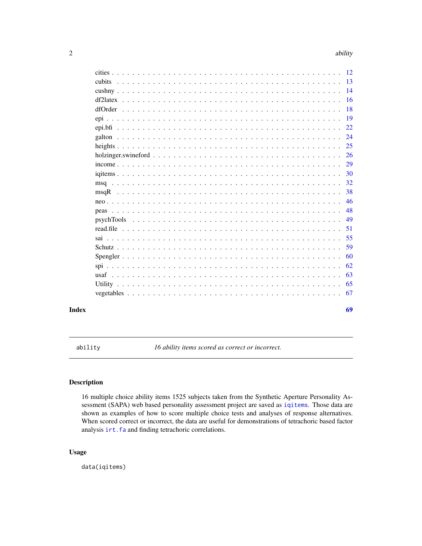<span id="page-1-0"></span>

|  | $\overline{14}$ |
|--|-----------------|
|  | 16              |
|  | 18              |
|  | 19              |
|  | 22              |
|  | 24              |
|  | 25              |
|  | 26              |
|  | 29              |
|  | 30              |
|  | 32              |
|  | 38              |
|  | 46              |
|  | 48              |
|  | 49              |
|  | 51              |
|  | 55              |
|  | 59              |
|  | 60              |
|  | 62              |
|  | 63              |
|  | 65              |
|  | 67              |
|  |                 |

#### **Index** [69](#page-68-0) and the contract of the contract of the contract of the contract of the contract of the contract of the contract of the contract of the contract of the contract of the contract of the contract of the contract of

<span id="page-1-1"></span>ability *16 ability items scored as correct or incorrect.*

### Description

16 multiple choice ability items 1525 subjects taken from the Synthetic Aperture Personality Assessment (SAPA) web based personality assessment project are saved as [iqitems](#page-29-1). Those data are shown as examples of how to score multiple choice tests and analyses of response alternatives. When scored correct or incorrect, the data are useful for demonstrations of tetrachoric based factor analysis [irt.fa](#page-0-0) and finding tetrachoric correlations.

### Usage

data(iqitems)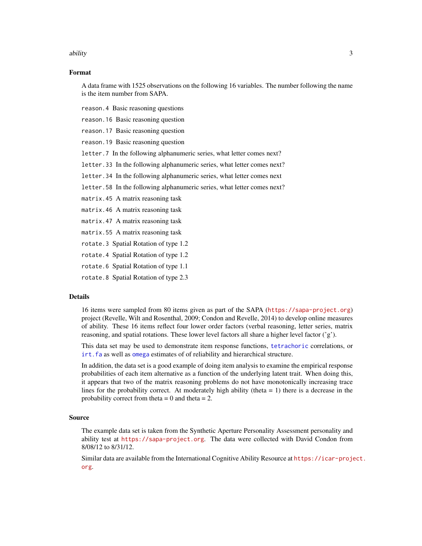#### <span id="page-2-0"></span>ability 3

#### Format

A data frame with 1525 observations on the following 16 variables. The number following the name is the item number from SAPA.

reason.4 Basic reasoning questions

reason.16 Basic reasoning question

reason.17 Basic reasoning question

reason.19 Basic reasoning question

letter.7 In the following alphanumeric series, what letter comes next?

letter.33 In the following alphanumeric series, what letter comes next?

letter.34 In the following alphanumeric series, what letter comes next

letter.58 In the following alphanumeric series, what letter comes next?

matrix.45 A matrix reasoning task

matrix.46 A matrix reasoning task

matrix.47 A matrix reasoning task

matrix.55 A matrix reasoning task

rotate.3 Spatial Rotation of type 1.2

rotate.4 Spatial Rotation of type 1.2

rotate.6 Spatial Rotation of type 1.1

rotate.8 Spatial Rotation of type 2.3

#### Details

16 items were sampled from 80 items given as part of the SAPA (<https://sapa-project.org>) project (Revelle, Wilt and Rosenthal, 2009; Condon and Revelle, 2014) to develop online measures of ability. These 16 items reflect four lower order factors (verbal reasoning, letter series, matrix reasoning, and spatial rotations. These lower level factors all share a higher level factor  $('g')$ .

This data set may be used to demonstrate item response functions, [tetrachoric](#page-0-0) correlations, or [irt.fa](#page-0-0) as well as [omega](#page-0-0) estimates of of reliability and hierarchical structure.

In addition, the data set is a good example of doing item analysis to examine the empirical response probabilities of each item alternative as a function of the underlying latent trait. When doing this, it appears that two of the matrix reasoning problems do not have monotonically increasing trace lines for the probability correct. At moderately high ability (theta  $= 1$ ) there is a decrease in the probability correct from theta  $= 0$  and theta  $= 2$ .

#### Source

The example data set is taken from the Synthetic Aperture Personality Assessment personality and ability test at <https://sapa-project.org>. The data were collected with David Condon from 8/08/12 to 8/31/12.

Similar data are available from the International Cognitive Ability Resource at [https://icar-proje](https://icar-project.org)ct. [org](https://icar-project.org).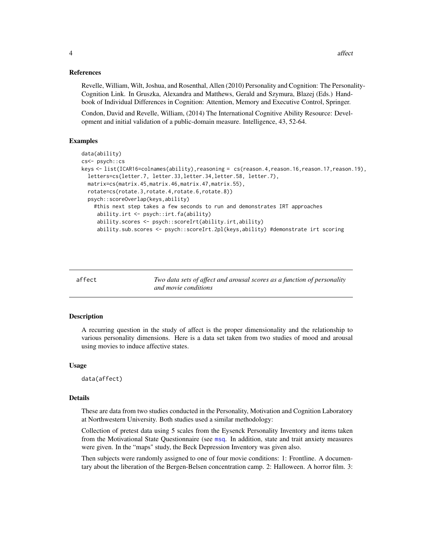### <span id="page-3-0"></span>References

Revelle, William, Wilt, Joshua, and Rosenthal, Allen (2010) Personality and Cognition: The Personality-Cognition Link. In Gruszka, Alexandra and Matthews, Gerald and Szymura, Blazej (Eds.) Handbook of Individual Differences in Cognition: Attention, Memory and Executive Control, Springer.

Condon, David and Revelle, William, (2014) The International Cognitive Ability Resource: Development and initial validation of a public-domain measure. Intelligence, 43, 52-64.

#### Examples

```
data(ability)
cs<- psych::cs
keys <- list(ICAR16=colnames(ability),reasoning = cs(reason.4,reason.16,reason.17,reason.19),
 letters=cs(letter.7, letter.33,letter.34,letter.58, letter.7),
 matrix=cs(matrix.45,matrix.46,matrix.47,matrix.55),
 rotate=cs(rotate.3,rotate.4,rotate.6,rotate.8))
 psych::scoreOverlap(keys,ability)
    #this next step takes a few seconds to run and demonstrates IRT approaches
     ability.irt <- psych::irt.fa(ability)
     ability.scores <- psych::scoreIrt(ability.irt,ability)
     ability.sub.scores <- psych::scoreIrt.2pl(keys,ability) #demonstrate irt scoring
```
<span id="page-3-1"></span>affect *Two data sets of affect and arousal scores as a function of personality and movie conditions*

#### Description

A recurring question in the study of affect is the proper dimensionality and the relationship to various personality dimensions. Here is a data set taken from two studies of mood and arousal using movies to induce affective states.

#### Usage

data(affect)

### Details

These are data from two studies conducted in the Personality, Motivation and Cognition Laboratory at Northwestern University. Both studies used a similar methodology:

Collection of pretest data using 5 scales from the Eysenck Personality Inventory and items taken from the Motivational State Questionnaire (see [msq](#page-31-1). In addition, state and trait anxiety measures were given. In the "maps" study, the Beck Depression Inventory was given also.

Then subjects were randomly assigned to one of four movie conditions: 1: Frontline. A documentary about the liberation of the Bergen-Belsen concentration camp. 2: Halloween. A horror film. 3: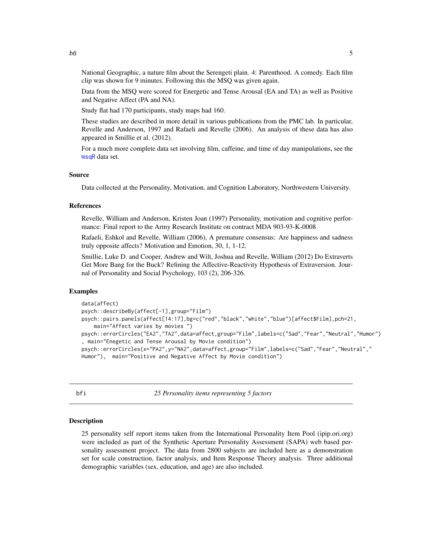<span id="page-4-0"></span>National Geographic, a nature film about the Serengeti plain. 4: Parenthood. A comedy. Each film clip was shown for 9 minutes. Following this the MSQ was given again.

Data from the MSQ were scored for Energetic and Tense Arousal (EA and TA) as well as Positive and Negative Affect (PA and NA).

Study flat had 170 participants, study maps had 160.

These studies are described in more detail in various publications from the PMC lab. In particular, Revelle and Anderson, 1997 and Rafaeli and Revelle (2006). An analysis of these data has also appeared in Smillie et al. (2012).

For a much more complete data set involving film, caffeine, and time of day manipulations, see the [msqR](#page-37-1) data set.

### Source

Data collected at the Personality, Motivation, and Cognition Laboratory, Northwestern University.

#### References

Revelle, William and Anderson, Kristen Joan (1997) Personality, motivation and cognitive performance: Final report to the Army Research Institute on contract MDA 903-93-K-0008

Rafaeli, Eshkol and Revelle, William (2006), A premature consensus: Are happiness and sadness truly opposite affects? Motivation and Emotion, 30, 1, 1-12.

Smillie, Luke D. and Cooper, Andrew and Wilt, Joshua and Revelle, William (2012) Do Extraverts Get More Bang for the Buck? Refining the Affective-Reactivity Hypothesis of Extraversion. Journal of Personality and Social Psychology, 103 (2), 206-326.

#### Examples

```
data(affect)
psych::describeBy(affect[-1],group="Film")
psych::pairs.panels(affect[14:17],bg=c("red","black","white","blue")[affect$Film],pch=21,
    main="Affect varies by movies ")
psych::errorCircles("EA2","TA2",data=affect,group="Film",labels=c("Sad","Fear","Neutral","Humor")
, main="Enegetic and Tense Arousal by Movie condition")
psych::errorCircles(x="PA2",y="NA2",data=affect,group="Film",labels=c("Sad","Fear","Neutral","
Humor"), main="Positive and Negative Affect by Movie condition")
```
<span id="page-4-1"></span>bfi *25 Personality items representing 5 factors*

#### Description

25 personality self report items taken from the International Personality Item Pool (ipip.ori.org) were included as part of the Synthetic Aperture Personality Assessment (SAPA) web based personality assessment project. The data from 2800 subjects are included here as a demonstration set for scale construction, factor analysis, and Item Response Theory analysis. Three additional demographic variables (sex, education, and age) are also included.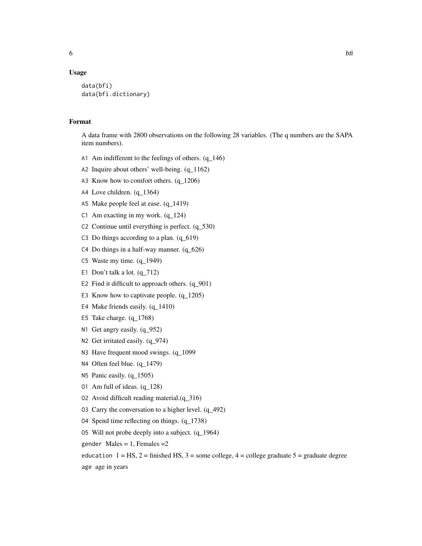#### Usage

```
data(bfi)
data(bfi.dictionary)
```
### Format

A data frame with 2800 observations on the following 28 variables. (The q numbers are the SAPA item numbers).

- A1 Am indifferent to the feelings of others. (q\_146)
- A2 Inquire about others' well-being. (q\_1162)
- A3 Know how to comfort others. (q\_1206)
- A4 Love children. (q\_1364)
- A5 Make people feel at ease. (q\_1419)
- C1 Am exacting in my work.  $(q_124)$
- C2 Continue until everything is perfect. (q\_530)
- C3 Do things according to a plan. (q\_619)
- C4 Do things in a half-way manner.  $(q_626)$
- C5 Waste my time. (q\_1949)
- E1 Don't talk a lot. (q\_712)
- E2 Find it difficult to approach others.  $(q_901)$
- E3 Know how to captivate people. (q\_1205)
- E4 Make friends easily. (q\_1410)
- E5 Take charge. (q\_1768)
- N1 Get angry easily. (q\_952)
- N2 Get irritated easily. (q\_974)
- N3 Have frequent mood swings. (q\_1099
- N4 Often feel blue. (q\_1479)
- N5 Panic easily. (q\_1505)
- O1 Am full of ideas. (q\_128)
- O2 Avoid difficult reading material.(q\_316)
- O3 Carry the conversation to a higher level. (q\_492)
- O4 Spend time reflecting on things. (q\_1738)
- O5 Will not probe deeply into a subject. (q\_1964)
- gender Males =  $1$ , Females =  $2$
- education  $1 = HS$ ,  $2 = finished HS$ ,  $3 = some college$ ,  $4 = college$  graduate  $5 = graduate$  degree

age age in years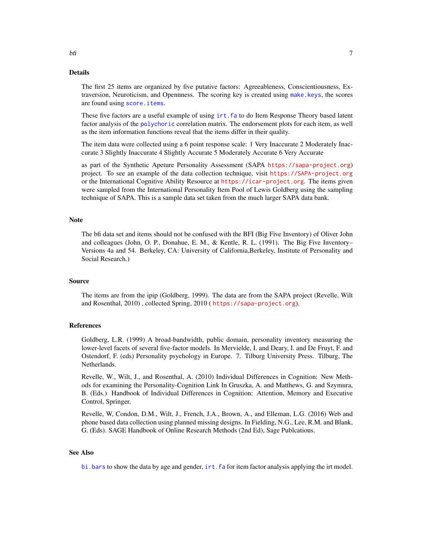#### <span id="page-6-0"></span>Details

The first 25 items are organized by five putative factors: Agreeableness, Conscientiousness, Extraversion, Neuroticism, and Opennness. The scoring key is created using [make.keys](#page-0-0), the scores are found using [score.items](#page-0-0).

These five factors are a useful example of using [irt.fa](#page-0-0) to do Item Response Theory based latent factor analysis of the [polychoric](#page-0-0) correlation matrix. The endorsement plots for each item, as well as the item information functions reveal that the items differ in their quality.

The item data were collected using a 6 point response scale: 1 Very Inaccurate 2 Moderately Inaccurate 3 Slightly Inaccurate 4 Slightly Accurate 5 Moderately Accurate 6 Very Accurate

as part of the Synthetic Apeture Personality Assessment (SAPA <https://sapa-project.org>) project. To see an example of the data collection technique, visit <https://SAPA-project.org> or the International Cognitive Ability Resource at <https://icar-project.org>. The items given were sampled from the International Personality Item Pool of Lewis Goldberg using the sampling technique of SAPA. This is a sample data set taken from the much larger SAPA data bank.

#### Note

The bfi data set and items should not be confused with the BFI (Big Five Inventory) of Oliver John and colleagues (John, O. P., Donahue, E. M., & Kentle, R. L. (1991). The Big Five Inventory– Versions 4a and 54. Berkeley, CA: University of California,Berkeley, Institute of Personality and Social Research.)

### Source

The items are from the ipip (Goldberg, 1999). The data are from the SAPA project (Revelle, Wilt and Rosenthal, 2010) , collected Spring, 2010 ( <https://sapa-project.org>).

#### References

Goldberg, L.R. (1999) A broad-bandwidth, public domain, personality inventory measuring the lower-level facets of several five-factor models. In Mervielde, I. and Deary, I. and De Fruyt, F. and Ostendorf, F. (eds) Personality psychology in Europe. 7. Tilburg University Press. Tilburg, The Netherlands.

Revelle, W., Wilt, J., and Rosenthal, A. (2010) Individual Differences in Cognition: New Methods for examining the Personality-Cognition Link In Gruszka, A. and Matthews, G. and Szymura, B. (Eds.) Handbook of Individual Differences in Cognition: Attention, Memory and Executive Control, Springer.

Revelle, W, Condon, D.M., Wilt, J., French, J.A., Brown, A., and Elleman, L.G. (2016) Web and phone based data collection using planned missing designs. In Fielding, N.G., Lee, R.M. and Blank, G. (Eds). SAGE Handbook of Online Research Methods (2nd Ed), Sage Publcations.

#### See Also

bi. bars to show the data by age and gender, irt. fa for item factor analysis applying the irt model.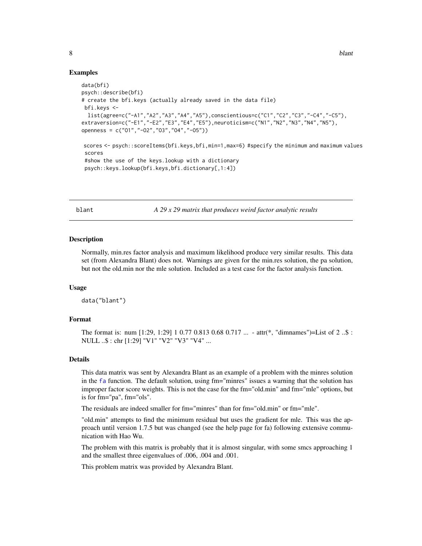#### <span id="page-7-0"></span>Examples

```
data(bfi)
psych::describe(bfi)
# create the bfi.keys (actually already saved in the data file)
bfi.keys <-
 list(agree=c("-A1","A2","A3","A4","A5"),conscientious=c("C1","C2","C3","-C4","-C5"),
extraversion=c("-E1","-E2","E3","E4","E5"),neuroticism=c("N1","N2","N3","N4","N5"),
openness = c("O1","-O2","O3","O4","-O5"))
scores <- psych::scoreItems(bfi.keys,bfi,min=1,max=6) #specify the minimum and maximum values
 scores
 #show the use of the keys.lookup with a dictionary
 psych::keys.lookup(bfi.keys,bfi.dictionary[,1:4])
```
<span id="page-7-1"></span>blant *A 29 x 29 matrix that produces weird factor analytic results*

#### **Description**

Normally, min.res factor analysis and maximum likelihood produce very similar results. This data set (from Alexandra Blant) does not. Warnings are given for the min.res solution, the pa solution, but not the old.min nor the mle solution. Included as a test case for the factor analysis function.

#### Usage

data("blant")

### Format

The format is: num [1:29, 1:29] 1 0.77 0.813 0.68 0.717 ... - attr(\*, "dimnames")=List of 2 ..\$ : NULL ..\$ : chr [1:29] "V1" "V2" "V3" "V4" ...

#### Details

This data matrix was sent by Alexandra Blant as an example of a problem with the minres solution in the [fa](#page-0-0) function. The default solution, using fm="minres" issues a warning that the solution has improper factor score weights. This is not the case for the fm="old.min" and fm="mle" options, but is for fm="pa", fm="ols".

The residuals are indeed smaller for fm="minres" than for fm="old.min" or fm="mle".

"old.min" attempts to find the minimum residual but uses the gradient for mle. This was the approach until version 1.7.5 but was changed (see the help page for fa) following extensive communication with Hao Wu.

The problem with this matrix is probably that it is almost singular, with some smcs approaching 1 and the smallest three eigenvalues of .006, .004 and .001.

This problem matrix was provided by Alexandra Blant.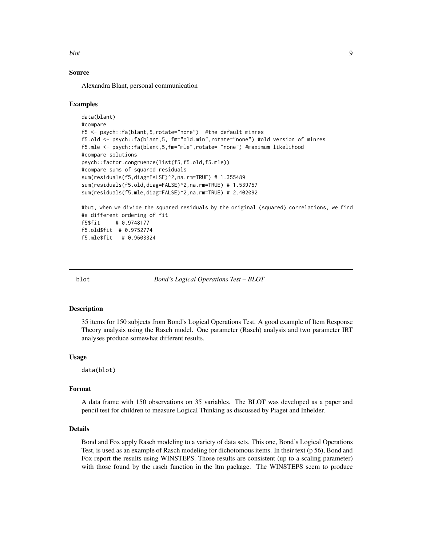<span id="page-8-0"></span>blot 9

### Source

Alexandra Blant, personal communication

#### Examples

```
data(blant)
#compare
f5 <- psych::fa(blant,5,rotate="none") #the default minres
f5.old <- psych::fa(blant,5, fm="old.min",rotate="none") #old version of minres
f5.mle <- psych::fa(blant,5,fm="mle",rotate= "none") #maximum likelihood
#compare solutions
psych::factor.congruence(list(f5,f5.old,f5.mle))
#compare sums of squared residuals
sum(residuals(f5,diag=FALSE)^2,na.rm=TRUE) # 1.355489
sum(residuals(f5.old,diag=FALSE)^2,na.rm=TRUE) # 1.539757
sum(residuals(f5.mle,diag=FALSE)^2,na.rm=TRUE) # 2.402092
#but, when we divide the squared residuals by the original (squared) correlations, we find
```

```
#a different ordering of fit
f5$fit # 0.9748177
f5.old$fit # 0.9752774
f5.mle$fit # 0.9603324
```
<span id="page-8-1"></span>

blot *Bond's Logical Operations Test – BLOT*

#### Description

35 items for 150 subjects from Bond's Logical Operations Test. A good example of Item Response Theory analysis using the Rasch model. One parameter (Rasch) analysis and two parameter IRT analyses produce somewhat different results.

### Usage

data(blot)

#### Format

A data frame with 150 observations on 35 variables. The BLOT was developed as a paper and pencil test for children to measure Logical Thinking as discussed by Piaget and Inhelder.

### Details

Bond and Fox apply Rasch modeling to a variety of data sets. This one, Bond's Logical Operations Test, is used as an example of Rasch modeling for dichotomous items. In their text (p 56), Bond and Fox report the results using WINSTEPS. Those results are consistent (up to a scaling parameter) with those found by the rasch function in the ltm package. The WINSTEPS seem to produce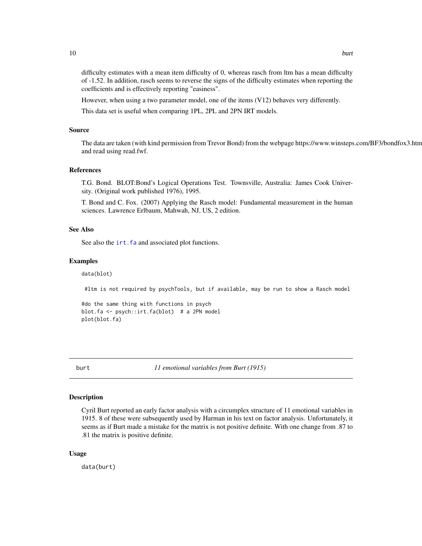<span id="page-9-0"></span>difficulty estimates with a mean item difficulty of 0, whereas rasch from ltm has a mean difficulty of -1.52. In addition, rasch seems to reverse the signs of the difficulty estimates when reporting the coefficients and is effectively reporting "easiness".

However, when using a two parameter model, one of the items (V12) behaves very differently.

This data set is useful when comparing 1PL, 2PL and 2PN IRT models.

#### Source

The data are taken (with kind permission from Trevor Bond) from the webpage https://www.winsteps.com/BF3/bondfox3.htm and read using read.fwf.

### References

T.G. Bond. BLOT:Bond's Logical Operations Test. Townsville, Australia: James Cook University. (Original work published 1976), 1995.

T. Bond and C. Fox. (2007) Applying the Rasch model: Fundamental measurement in the human sciences. Lawrence Erlbaum, Mahwah, NJ, US, 2 edition.

#### See Also

See also the irt. fa and associated plot functions.

#### Examples

data(blot)

#ltm is not required by psychTools, but if available, may be run to show a Rasch model

```
#do the same thing with functions in psych
blot.fa <- psych::irt.fa(blot) # a 2PN model
plot(blot.fa)
```
<span id="page-9-1"></span>

burt *11 emotional variables from Burt (1915)*

### Description

Cyril Burt reported an early factor analysis with a circumplex structure of 11 emotional variables in 1915. 8 of these were subsequently used by Harman in his text on factor analysis. Unfortunately, it seems as if Burt made a mistake for the matrix is not positive definite. With one change from .87 to .81 the matrix is positive definite.

#### Usage

data(burt)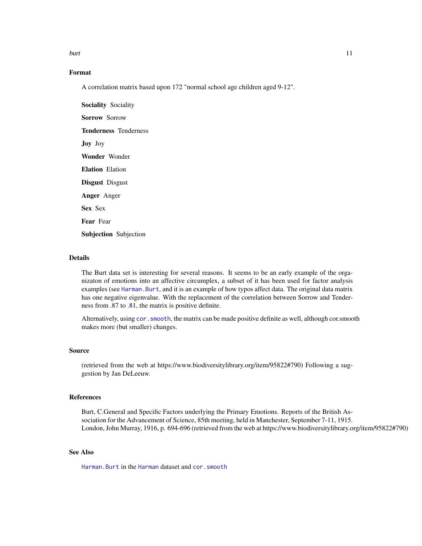<span id="page-10-0"></span>burt 11 metal and the set of the set of the set of the set of the set of the set of the set of the set of the set of the set of the set of the set of the set of the set of the set of the set of the set of the set of the se

### Format

A correlation matrix based upon 172 "normal school age children aged 9-12".

Sociality Sociality Sorrow Sorrow Tenderness Tenderness Joy Joy Wonder Wonder Elation Elation Disgust Disgust Anger Anger Sex Sex Fear Fear Subjection Subjection

#### Details

The Burt data set is interesting for several reasons. It seems to be an early example of the organizaton of emotions into an affective circumplex, a subset of it has been used for factor analysis examples (see [Harman.Burt](#page-0-0), and it is an example of how typos affect data. The original data matrix has one negative eigenvalue. With the replacement of the correlation between Sorrow and Tenderness from .87 to .81, the matrix is positive definite.

Alternatively, using [cor.smooth](#page-0-0), the matrix can be made positive definite as well, although cor.smooth makes more (but smaller) changes.

### Source

(retrieved from the web at https://www.biodiversitylibrary.org/item/95822#790) Following a suggestion by Jan DeLeeuw.

#### References

Burt, C.General and Specific Factors underlying the Primary Emotions. Reports of the British Association for the Advancement of Science, 85th meeting, held in Manchester, September 7-11, 1915. London, John Murray, 1916, p. 694-696 (retrieved from the web at https://www.biodiversitylibrary.org/item/95822#790)

### See Also

[Harman.Burt](#page-0-0) in the [Harman](#page-0-0) dataset and [cor.smooth](#page-0-0)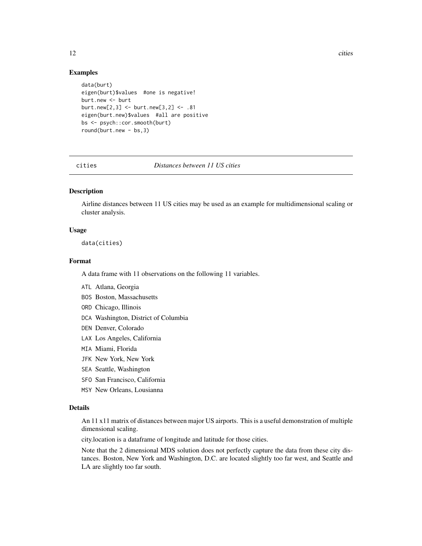<span id="page-11-0"></span>12 cities and the contract of the contract of the contract of the contract of the contract of the contract of the contract of the contract of the contract of the contract of the contract of the contract of the contract of

#### Examples

```
data(burt)
eigen(burt)$values #one is negative!
burt.new <- burt
burt.new[2,3] <- burt.new[3,2] <- .81
eigen(burt.new)$values #all are positive
bs <- psych::cor.smooth(burt)
round(burt.new - bs,3)
```
#### <span id="page-11-1"></span>cities *Distances between 11 US cities*

#### Description

Airline distances between 11 US cities may be used as an example for multidimensional scaling or cluster analysis.

#### Usage

data(cities)

### Format

A data frame with 11 observations on the following 11 variables.

- ATL Atlana, Georgia
- BOS Boston, Massachusetts
- ORD Chicago, Illinois
- DCA Washington, District of Columbia
- DEN Denver, Colorado
- LAX Los Angeles, California
- MIA Miami, Florida
- JFK New York, New York
- SEA Seattle, Washington
- SFO San Francisco, California
- MSY New Orleans, Lousianna

#### Details

An 11 x11 matrix of distances between major US airports. This is a useful demonstration of multiple dimensional scaling.

city.location is a dataframe of longitude and latitude for those cities.

Note that the 2 dimensional MDS solution does not perfectly capture the data from these city distances. Boston, New York and Washington, D.C. are located slightly too far west, and Seattle and LA are slightly too far south.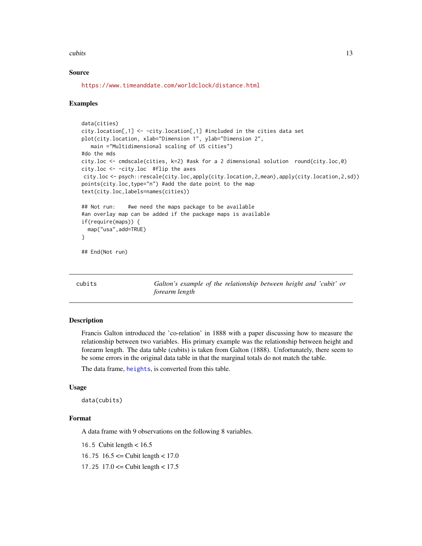#### <span id="page-12-0"></span>cubits and the contract of the contract of the contract of the contract of the contract of the contract of the contract of the contract of the contract of the contract of the contract of the contract of the contract of the

#### Source

<https://www.timeanddate.com/worldclock/distance.html>

#### Examples

```
data(cities)
city.location[,1] <- -city.location[,1] #included in the cities data set
plot(city.location, xlab="Dimension 1", ylab="Dimension 2",
  main ="Multidimensional scaling of US cities")
#do the mds
city.loc <- cmdscale(cities, k=2) #ask for a 2 dimensional solution round(city.loc,0)
city.loc <- -city.loc #flip the axes
city.loc <- psych::rescale(city.loc,apply(city.location,2,mean),apply(city.location,2,sd))
points(city.loc,type="n") #add the date point to the map
text(city.loc,labels=names(cities))
## Not run: #we need the maps package to be available
#an overlay map can be added if the package maps is available
if(require(maps)) {
 map("usa",add=TRUE)
}
## End(Not run)
```
<span id="page-12-1"></span>cubits *Galton's example of the relationship between height and 'cubit' or forearm length*

#### Description

Francis Galton introduced the 'co-relation' in 1888 with a paper discussing how to measure the relationship between two variables. His primary example was the relationship between height and forearm length. The data table (cubits) is taken from Galton (1888). Unfortunately, there seem to be some errors in the original data table in that the marginal totals do not match the table.

The data frame, [heights](#page-24-1), is converted from this table.

#### Usage

data(cubits)

#### Format

A data frame with 9 observations on the following 8 variables.

16.5 Cubit length < 16.5

16.75  $16.5 \leq$  Cubit length  $< 17.0$ 

17.25  $17.0 \leq$  Cubit length  $< 17.5$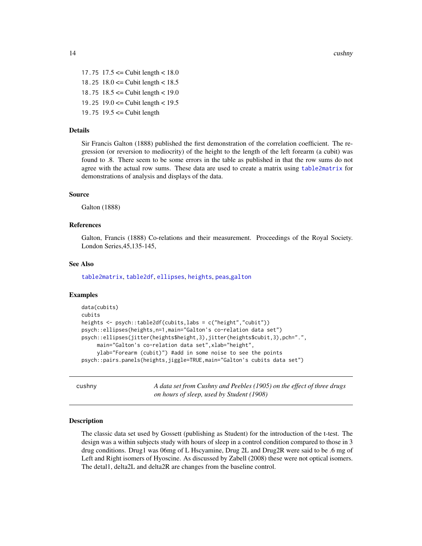<span id="page-13-0"></span>17.75  $17.5 \leq$  Cubit length  $< 18.0$ 18.25 18.0 <= Cubit length < 18.5

18.75  $18.5 \leq$  Cubit length  $< 19.0$ 

- 19.25  $19.0 \leq$  Cubit length  $< 19.5$
- 19.75  $19.5 \leq$  Cubit length

#### Details

Sir Francis Galton (1888) published the first demonstration of the correlation coefficient. The regression (or reversion to mediocrity) of the height to the length of the left forearm (a cubit) was found to .8. There seem to be some errors in the table as published in that the row sums do not agree with the actual row sums. These data are used to create a matrix using [table2matrix](#page-0-0) for demonstrations of analysis and displays of the data.

#### Source

Galton (1888)

#### References

Galton, Francis (1888) Co-relations and their measurement. Proceedings of the Royal Society. London Series,45,135-145,

#### See Also

[table2matrix](#page-0-0), [table2df](#page-0-0), [ellipses](#page-0-0), [heights](#page-24-1), [peas](#page-47-1),[galton](#page-23-1)

### Examples

```
data(cubits)
cubits
heights <- psych::table2df(cubits,labs = c("height","cubit"))
psych::ellipses(heights,n=1,main="Galton's co-relation data set")
psych::ellipses(jitter(heights$height,3),jitter(heights$cubit,3),pch=".",
     main="Galton's co-relation data set",xlab="height",
     ylab="Forearm (cubit)") #add in some noise to see the points
psych::pairs.panels(heights,jiggle=TRUE,main="Galton's cubits data set")
```
<span id="page-13-1"></span>cushny *A data set from Cushny and Peebles (1905) on the effect of three drugs on hours of sleep, used by Student (1908)*

#### Description

The classic data set used by Gossett (publishing as Student) for the introduction of the t-test. The design was a within subjects study with hours of sleep in a control condition compared to those in 3 drug conditions. Drug1 was 06mg of L Hscyamine, Drug 2L and Drug2R were said to be .6 mg of Left and Right isomers of Hyoscine. As discussed by Zabell (2008) these were not optical isomers. The detal1, delta2L and delta2R are changes from the baseline control.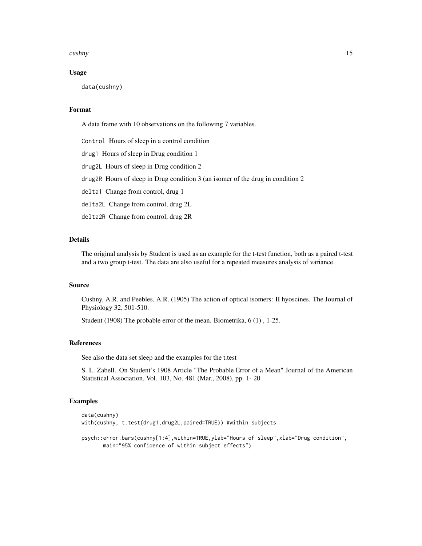#### cushny that the contract of the contract of the contract of the contract of the contract of the contract of the contract of the contract of the contract of the contract of the contract of the contract of the contract of th

#### Usage

data(cushny)

### Format

A data frame with 10 observations on the following 7 variables.

Control Hours of sleep in a control condition

drug1 Hours of sleep in Drug condition 1

drug2L Hours of sleep in Drug condition 2

drug2R Hours of sleep in Drug condition 3 (an isomer of the drug in condition 2

delta1 Change from control, drug 1

delta2L Change from control, drug 2L

delta2R Change from control, drug 2R

### Details

The original analysis by Student is used as an example for the t-test function, both as a paired t-test and a two group t-test. The data are also useful for a repeated measures analysis of variance.

#### Source

Cushny, A.R. and Peebles, A.R. (1905) The action of optical isomers: II hyoscines. The Journal of Physiology 32, 501-510.

Student (1908) The probable error of the mean. Biometrika, 6 (1) , 1-25.

#### References

See also the data set sleep and the examples for the t.test

S. L. Zabell. On Student's 1908 Article "The Probable Error of a Mean" Journal of the American Statistical Association, Vol. 103, No. 481 (Mar., 2008), pp. 1- 20

#### Examples

```
data(cushny)
with(cushny, t.test(drug1,drug2L,paired=TRUE)) #within subjects
psych::error.bars(cushny[1:4],within=TRUE,ylab="Hours of sleep",xlab="Drug condition",
      main="95% confidence of within subject effects")
```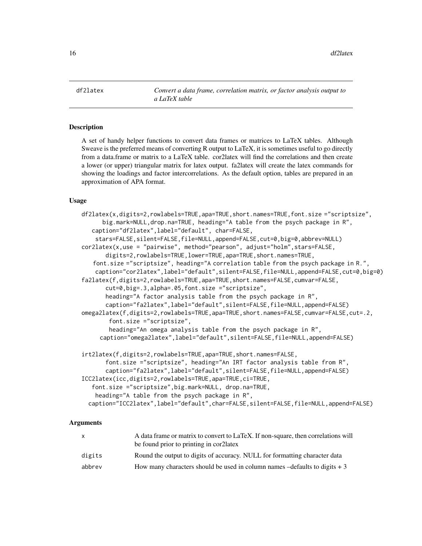<span id="page-15-2"></span><span id="page-15-0"></span>df2latex *Convert a data frame, correlation matrix, or factor analysis output to a LaTeX table*

### <span id="page-15-1"></span>Description

A set of handy helper functions to convert data frames or matrices to LaTeX tables. Although Sweave is the preferred means of converting R output to LaTeX, it is sometimes useful to go directly from a data.frame or matrix to a LaTeX table. cor2latex will find the correlations and then create a lower (or upper) triangular matrix for latex output. fa2latex will create the latex commands for showing the loadings and factor intercorrelations. As the default option, tables are prepared in an approximation of APA format.

#### Usage

```
df2latex(x,digits=2,rowlabels=TRUE,apa=TRUE,short.names=TRUE,font.size ="scriptsize",
      big.mark=NULL,drop.na=TRUE, heading="A table from the psych package in R",
   caption="df2latex",label="default", char=FALSE,
    stars=FALSE,silent=FALSE,file=NULL,append=FALSE,cut=0,big=0,abbrev=NULL)
cor2latex(x,use = "pairwise", method="pearson", adjust="holm",stars=FALSE,
       digits=2,rowlabels=TRUE,lower=TRUE,apa=TRUE,short.names=TRUE,
   font.size ="scriptsize", heading="A correlation table from the psych package in R.",
    caption="cor2latex",label="default",silent=FALSE,file=NULL,append=FALSE,cut=0,big=0)
fa2latex(f,digits=2,rowlabels=TRUE,apa=TRUE,short.names=FALSE,cumvar=FALSE,
       cut=0,big=.3,alpha=.05,font.size ="scriptsize",
       heading="A factor analysis table from the psych package in R",
       caption="fa2latex",label="default",silent=FALSE,file=NULL,append=FALSE)
omega2latex(f,digits=2,rowlabels=TRUE,apa=TRUE,short.names=FALSE,cumvar=FALSE,cut=.2,
       font.size ="scriptsize",
       heading="An omega analysis table from the psych package in R",
     caption="omega2latex",label="default",silent=FALSE,file=NULL,append=FALSE)
irt2latex(f,digits=2,rowlabels=TRUE,apa=TRUE,short.names=FALSE,
       font.size ="scriptsize", heading="An IRT factor analysis table from R",
       caption="fa2latex",label="default",silent=FALSE,file=NULL,append=FALSE)
ICC2latex(icc,digits=2,rowlabels=TRUE,apa=TRUE,ci=TRUE,
   font.size ="scriptsize",big.mark=NULL, drop.na=TRUE,
   heading="A table from the psych package in R",
  caption="ICC2latex",label="default",char=FALSE,silent=FALSE,file=NULL,append=FALSE)
```
#### **Arguments**

|        | A data frame or matrix to convert to LaTeX. If non-square, then correlations will    |
|--------|--------------------------------------------------------------------------------------|
|        | be found prior to printing in corclatex                                              |
| digits | Round the output to digits of accuracy. NULL for formatting character data           |
| abbrev | How many characters should be used in column names $-\text{defaults}$ to digits $+3$ |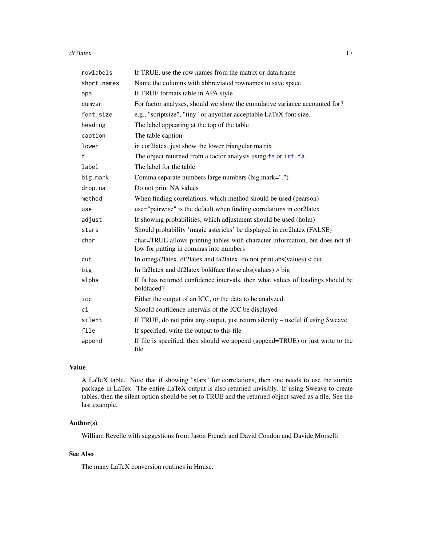#### <span id="page-16-0"></span>df2latex 17

| rowlabels   | If TRUE, use the row names from the matrix or data.frame                                                                |
|-------------|-------------------------------------------------------------------------------------------------------------------------|
| short.names | Name the columns with abbreviated rownames to save space                                                                |
| apa         | If TRUE formats table in APA style                                                                                      |
| cumvar      | For factor analyses, should we show the cumulative variance accounted for?                                              |
| font.size   | e.g., "scriptsize", "tiny" or anyother acceptable LaTeX font size.                                                      |
| heading     | The label appearing at the top of the table                                                                             |
| caption     | The table caption                                                                                                       |
| lower       | in cor2latex, just show the lower triangular matrix                                                                     |
| f           | The object returned from a factor analysis using fa or irt.fa.                                                          |
| label       | The label for the table                                                                                                 |
| big.mark    | Comma separate numbers large numbers (big.mark=",")                                                                     |
| drop.na     | Do not print NA values                                                                                                  |
| method      | When finding correlations, which method should be used (pearson)                                                        |
| use         | use="pairwise" is the default when finding correlations in cor2latex                                                    |
| adjust      | If showing probabilities, which adjustment should be used (holm)                                                        |
| stars       | Should probability 'magic astericks' be displayed in cor2latex (FALSE)                                                  |
| char        | char=TRUE allows printing tables with character information, but does not al-<br>low for putting in commas into numbers |
| cut         | In omega2latex, df2latex and fa2latex, do not print abs(values) < cut                                                   |
| big         | In fa2latex and df2latex boldface those abs(values) $>$ big                                                             |
| alpha       | If fa has returned confidence intervals, then what values of loadings should be<br>boldfaced?                           |
| icc         | Either the output of an ICC, or the data to be analyzed.                                                                |
| сi          | Should confidence intervals of the ICC be displayed                                                                     |
| silent      | If TRUE, do not print any output, just return silently – useful if using Sweave                                         |
| file        | If specified, write the output to this file                                                                             |
| append      | If file is specified, then should we append (append=TRUE) or just write to the<br>file                                  |

### Value

A LaTeX table. Note that if showing "stars" for correlations, then one needs to use the siunitx package in LaTex. The entire LaTeX output is also returned invisibly. If using Sweave to create tables, then the silent option should be set to TRUE and the returned object saved as a file. See the last example.

### Author(s)

William Revelle with suggestions from Jason French and David Condon and Davide Morselli

### See Also

The many LaTeX conversion routines in Hmisc.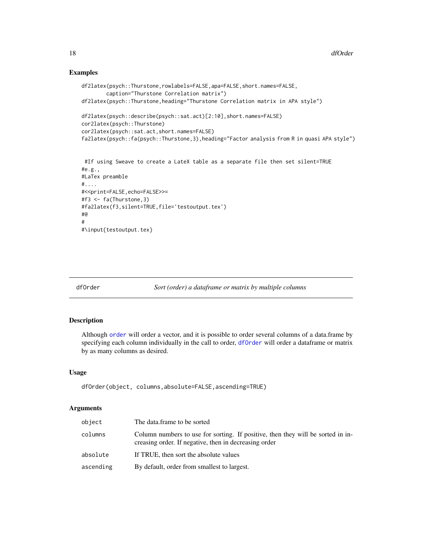### Examples

```
df2latex(psych::Thurstone,rowlabels=FALSE,apa=FALSE,short.names=FALSE,
       caption="Thurstone Correlation matrix")
df2latex(psych::Thurstone,heading="Thurstone Correlation matrix in APA style")
df2latex(psych::describe(psych::sat.act)[2:10],short.names=FALSE)
cor2latex(psych::Thurstone)
cor2latex(psych::sat.act,short.names=FALSE)
fa2latex(psych::fa(psych::Thurstone,3),heading="Factor analysis from R in quasi APA style")
#If using Sweave to create a LateX table as a separate file then set silent=TRUE
#e.g.,#LaTex preamble
#....
#<<print=FALSE,echo=FALSE>>=
#f3 <- fa(Thurstone,3)
#fa2latex(f3,silent=TRUE,file='testoutput.tex')
#@
#
#\input{testoutput.tex}
```
<span id="page-17-1"></span>

dfOrder *Sort (order) a dataframe or matrix by multiple columns*

#### Description

Although [order](#page-0-0) will order a vector, and it is possible to order several columns of a data.frame by specifying each column individually in the call to order, [dfOrder](#page-17-1) will order a dataframe or matrix by as many columns as desired.

#### Usage

```
dfOrder(object, columns,absolute=FALSE,ascending=TRUE)
```
#### Arguments

| object    | The data.frame to be sorted                                                                                                              |
|-----------|------------------------------------------------------------------------------------------------------------------------------------------|
| columns   | Column numbers to use for sorting. If positive, then they will be sorted in in-<br>creasing order. If negative, then in decreasing order |
| absolute  | If TRUE, then sort the absolute values                                                                                                   |
| ascending | By default, order from smallest to largest.                                                                                              |

<span id="page-17-0"></span>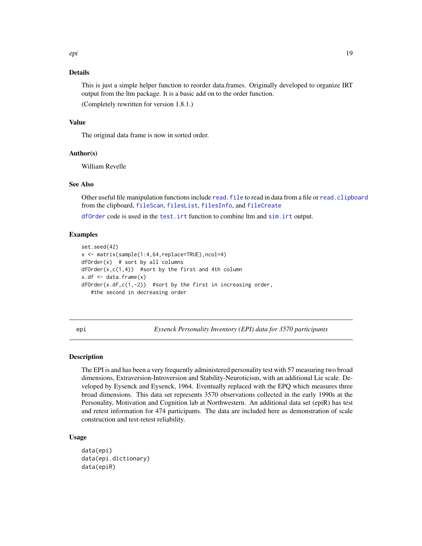### <span id="page-18-0"></span>Details

This is just a simple helper function to reorder data.frames. Originally developed to organize IRT output from the ltm package. It is a basic add on to the order function.

(Completely rewritten for version 1.8.1.)

### Value

The original data frame is now in sorted order.

#### Author(s)

William Revelle

#### See Also

Other useful file manipulation functions include read. file to read in data from a file or read. clipboard from the clipboard, [fileScan](#page-64-1), [filesList](#page-64-1), [filesInfo](#page-64-1), and [fileCreate](#page-64-1)

[dfOrder](#page-17-1) code is used in the [test.irt](#page-0-0) function to combine ltm and [sim.irt](#page-0-0) output.

#### Examples

```
set.seed(42)
x <- matrix(sample(1:4,64,replace=TRUE),ncol=4)
dfOrder(x) # sort by all columns
dfOrder(x,c(1,4)) #sort by the first and 4th column
x.df \leftarrow data.frame(x)dfOrder(x.df, c(1, -2)) #sort by the first in increasing order,
  #the second in decreasing order
```
<span id="page-18-2"></span>epi *Eysenck Personality Inventory (EPI) data for 3570 participants*

### <span id="page-18-1"></span>Description

The EPI is and has been a very frequently administered personality test with 57 measuring two broad dimensions, Extraversion-Introversion and Stability-Neuroticism, with an additional Lie scale. Developed by Eysenck and Eysenck, 1964. Eventually replaced with the EPQ which measures three broad dimensions. This data set represents 3570 observations collected in the early 1990s at the Personality, Motivation and Cognition lab at Northwestern. An additional data set (epiR) has test and retest information for 474 participants. The data are included here as demonstration of scale construction and test-retest reliability.

#### Usage

```
data(epi)
data(epi.dictionary)
data(epiR)
```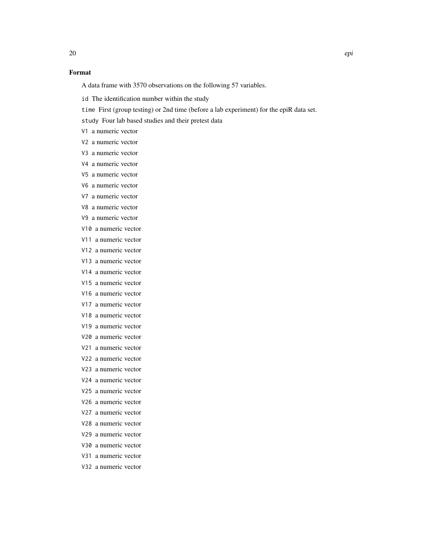### Format

A data frame with 3570 observations on the following 57 variables.

id The identification number within the study

time First (group testing) or 2nd time (before a lab experiment) for the epiR data set.

study Four lab based studies and their pretest data

V1 a numeric vector

- V2 a numeric vector
- V3 a numeric vector
- V4 a numeric vector
- V5 a numeric vector

V6 a numeric vector

V7 a numeric vector

V8 a numeric vector

- V9 a numeric vector
- V10 a numeric vector
- V11 a numeric vector
- V12 a numeric vector
- V13 a numeric vector
- V14 a numeric vector
- V15 a numeric vector
- V16 a numeric vector
- V17 a numeric vector
- V18 a numeric vector
- V19 a numeric vector
- V20 a numeric vector
- V21 a numeric vector
- V22 a numeric vector
- V23 a numeric vector
- V24 a numeric vector
- V25 a numeric vector
- V26 a numeric vector
- V27 a numeric vector
- V28 a numeric vector
- V29 a numeric vector
- V30 a numeric vector
- V31 a numeric vector
- 
- 

V32 a numeric vector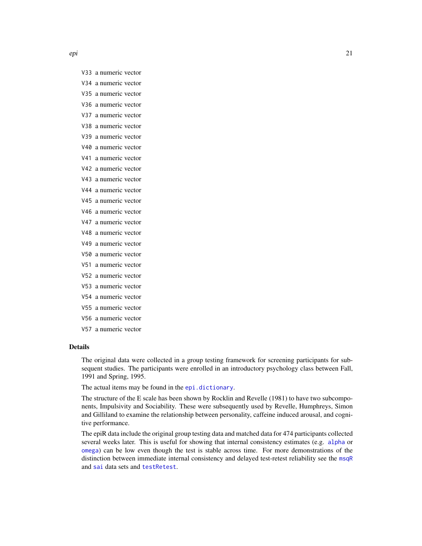- <span id="page-20-0"></span>V33 a numeric vector
- V34 a numeric vector
- V35 a numeric vector
- V36 a numeric vector
- V37 a numeric vector
- V38 a numeric vector
- V39 a numeric vector
- V40 a numeric vector
- V41 a numeric vector
- V42 a numeric vector
- V43 a numeric vector
- V44 a numeric vector
- V45 a numeric vector V46 a numeric vector
- 
- V47 a numeric vector
- V48 a numeric vector
- V49 a numeric vector
- V50 a numeric vector
- V51 a numeric vector
- V52 a numeric vector
- V53 a numeric vector
- V54 a numeric vector
- V55 a numeric vector
- V56 a numeric vector
- V57 a numeric vector

#### Details

The original data were collected in a group testing framework for screening participants for subsequent studies. The participants were enrolled in an introductory psychology class between Fall, 1991 and Spring, 1995.

The actual items may be found in the [epi.dictionary](#page-18-1).

The structure of the E scale has been shown by Rocklin and Revelle (1981) to have two subcomponents, Impulsivity and Sociability. These were subsequently used by Revelle, Humphreys, Simon and Gilliland to examine the relationship between personality, caffeine induced arousal, and cognitive performance.

The epiR data include the original group testing data and matched data for 474 participants collected several weeks later. This is useful for showing that internal consistency estimates (e.g. [alpha](#page-0-0) or [omega](#page-0-0)) can be low even though the test is stable across time. For more demonstrations of the distinction between immediate internal consistency and delayed test-retest reliability see the [msqR](#page-37-1) and [sai](#page-54-1) data sets and [testRetest](#page-0-0).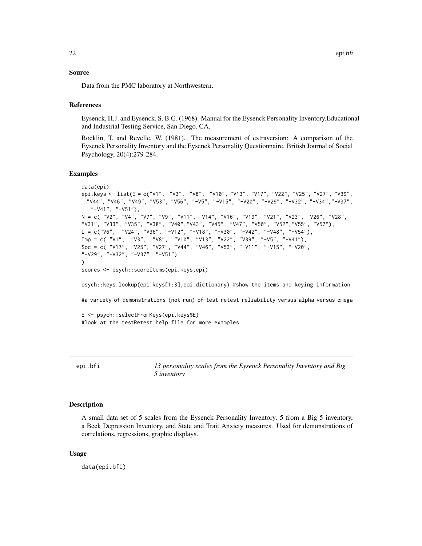#### <span id="page-21-0"></span>Source

Data from the PMC laboratory at Northwestern.

#### References

Eysenck, H.J. and Eysenck, S. B.G. (1968). Manual for the Eysenck Personality Inventory.Educational and Industrial Testing Service, San Diego, CA.

Rocklin, T. and Revelle, W. (1981). The measurement of extraversion: A comparison of the Eysenck Personality Inventory and the Eysenck Personality Questionnaire. British Journal of Social Psychology, 20(4):279-284.

### Examples

```
data(epi)
epi.keys <- list(E = c("V1", "V3", "V8", "V10", "V13", "V17", "V22", "V25", "V27", "V39",
 "V44", "V46", "V49", "V53", "V56", "-V5", "-V15", "-V20", "-V29", "-V32", "-V34","-V37",
   "-V41", "-V51"),
N = c( "V2", "V4", "V7", "V9", "V11", "V14", "V16", "V19", "V21", "V23", "V26", "V28",
"V31", "V33", "V35", "V38", "V40","V43", "V45", "V47", "V50", "V52","V55", "V57"),
L = c("V6", "V24", "V36", "–V12", "–V18", "–V30", "–V42", "–V48", "–V54"),Imp = c( "V1", "V3", "V8", "V10", "V13", "V22", "V39", "-V5", "-V41"),
Soc = c( "V17", "V25", "V27", "V44", "V46", "V53", "-V11", "-V15", "-V20",
"-V29", "-V32", "-V37", "-V51")
)
scores <- psych::scoreItems(epi.keys,epi)
psych::keys.lookup(epi.keys[1:3],epi.dictionary) #show the items and keying information
#a variety of demonstrations (not run) of test retest reliability versus alpha versus omega
E <- psych::selectFromKeys(epi.keys$E)
#look at the testRetest help file for more examples
```
<span id="page-21-1"></span>

| epi.bfi | 13 personality scales from the Eysenck Personality Inventory and Big |
|---------|----------------------------------------------------------------------|
|         | 5 <i>inventory</i>                                                   |

### **Description**

A small data set of 5 scales from the Eysenck Personality Inventory, 5 from a Big 5 inventory, a Beck Depression Inventory, and State and Trait Anxiety measures. Used for demonstrations of correlations, regressions, graphic displays.

#### Usage

data(epi.bfi)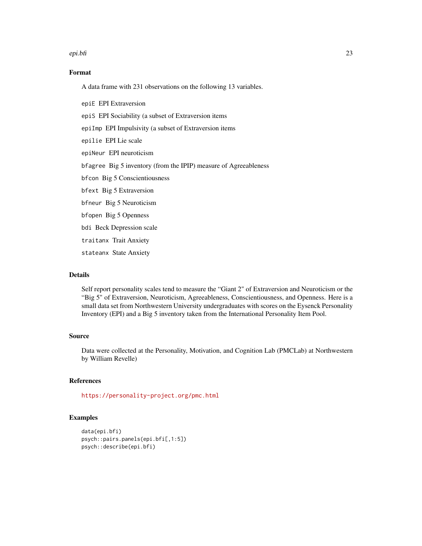#### epi.bfi 23

### Format

A data frame with 231 observations on the following 13 variables.

epiE EPI Extraversion epiS EPI Sociability (a subset of Extraversion items epiImp EPI Impulsivity (a subset of Extraversion items epilie EPI Lie scale epiNeur EPI neuroticism bfagree Big 5 inventory (from the IPIP) measure of Agreeableness bfcon Big 5 Conscientiousness bfext Big 5 Extraversion bfneur Big 5 Neuroticism bfopen Big 5 Openness bdi Beck Depression scale traitanx Trait Anxiety stateanx State Anxiety

#### Details

Self report personality scales tend to measure the "Giant 2" of Extraversion and Neuroticism or the "Big 5" of Extraversion, Neuroticism, Agreeableness, Conscientiousness, and Openness. Here is a small data set from Northwestern University undergraduates with scores on the Eysenck Personality Inventory (EPI) and a Big 5 inventory taken from the International Personality Item Pool.

#### Source

Data were collected at the Personality, Motivation, and Cognition Lab (PMCLab) at Northwestern by William Revelle)

### References

<https://personality-project.org/pmc.html>

### Examples

```
data(epi.bfi)
psych::pairs.panels(epi.bfi[,1:5])
psych::describe(epi.bfi)
```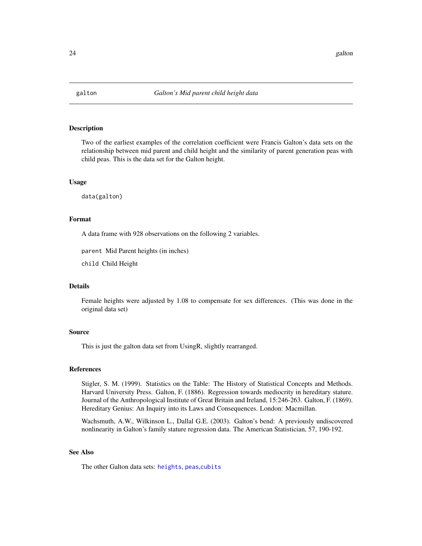<span id="page-23-1"></span><span id="page-23-0"></span>

#### Description

Two of the earliest examples of the correlation coefficient were Francis Galton's data sets on the relationship between mid parent and child height and the similarity of parent generation peas with child peas. This is the data set for the Galton height.

#### Usage

data(galton)

#### Format

A data frame with 928 observations on the following 2 variables.

parent Mid Parent heights (in inches)

child Child Height

#### Details

Female heights were adjusted by 1.08 to compensate for sex differences. (This was done in the original data set)

#### Source

This is just the galton data set from UsingR, slightly rearranged.

#### References

Stigler, S. M. (1999). Statistics on the Table: The History of Statistical Concepts and Methods. Harvard University Press. Galton, F. (1886). Regression towards mediocrity in hereditary stature. Journal of the Anthropological Institute of Great Britain and Ireland, 15:246-263. Galton, F. (1869). Hereditary Genius: An Inquiry into its Laws and Consequences. London: Macmillan.

Wachsmuth, A.W., Wilkinson L., Dallal G.E. (2003). Galton's bend: A previously undiscovered nonlinearity in Galton's family stature regression data. The American Statistician, 57, 190-192.

### See Also

The other Galton data sets: [heights](#page-24-1), [peas](#page-47-1),[cubits](#page-12-1)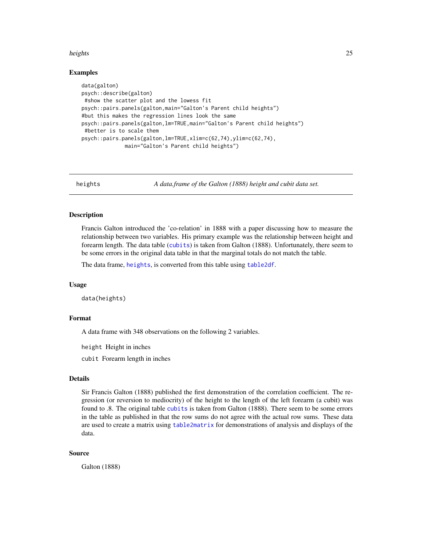#### <span id="page-24-0"></span>heights 25

#### Examples

```
data(galton)
psych::describe(galton)
#show the scatter plot and the lowess fit
psych::pairs.panels(galton,main="Galton's Parent child heights")
#but this makes the regression lines look the same
psych::pairs.panels(galton,lm=TRUE,main="Galton's Parent child heights")
#better is to scale them
psych::pairs.panels(galton,lm=TRUE,xlim=c(62,74),ylim=c(62,74),
             main="Galton's Parent child heights")
```
<span id="page-24-1"></span>heights *A data.frame of the Galton (1888) height and cubit data set.*

### Description

Francis Galton introduced the 'co-relation' in 1888 with a paper discussing how to measure the relationship between two variables. His primary example was the relationship between height and forearm length. The data table ([cubits](#page-12-1)) is taken from Galton (1888). Unfortunately, there seem to be some errors in the original data table in that the marginal totals do not match the table.

The data frame, [heights](#page-24-1), is converted from this table using [table2df](#page-0-0).

#### Usage

data(heights)

#### Format

A data frame with 348 observations on the following 2 variables.

height Height in inches

cubit Forearm length in inches

#### Details

Sir Francis Galton (1888) published the first demonstration of the correlation coefficient. The regression (or reversion to mediocrity) of the height to the length of the left forearm (a cubit) was found to .8. The original table [cubits](#page-12-1) is taken from Galton (1888). There seem to be some errors in the table as published in that the row sums do not agree with the actual row sums. These data are used to create a matrix using [table2matrix](#page-0-0) for demonstrations of analysis and displays of the data.

### Source

Galton (1888)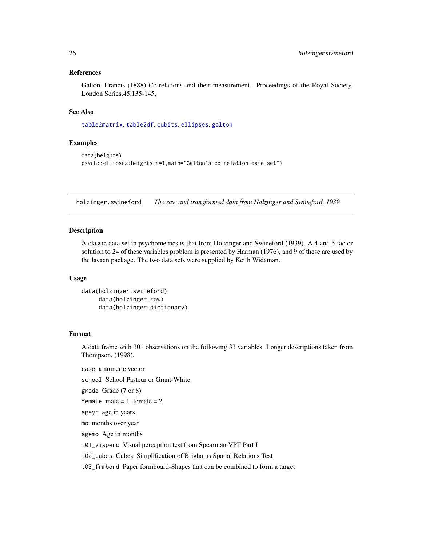### <span id="page-25-0"></span>References

Galton, Francis (1888) Co-relations and their measurement. Proceedings of the Royal Society. London Series,45,135-145,

#### See Also

[table2matrix](#page-0-0), [table2df](#page-0-0), [cubits](#page-12-1), [ellipses](#page-0-0), [galton](#page-23-1)

#### Examples

```
data(heights)
psych::ellipses(heights,n=1,main="Galton's co-relation data set")
```
<span id="page-25-2"></span>holzinger.swineford *The raw and transformed data from Holzinger and Swineford, 1939*

#### <span id="page-25-1"></span>Description

A classic data set in psychometrics is that from Holzinger and Swineford (1939). A 4 and 5 factor solution to 24 of these variables problem is presented by Harman (1976), and 9 of these are used by the lavaan package. The two data sets were supplied by Keith Widaman.

#### Usage

```
data(holzinger.swineford)
     data(holzinger.raw)
     data(holzinger.dictionary)
```
### Format

A data frame with 301 observations on the following 33 variables. Longer descriptions taken from Thompson, (1998).

case a numeric vector

school School Pasteur or Grant-White

grade Grade (7 or 8)

```
female male = 1, female = 2
```
ageyr age in years

mo months over year

agemo Age in months

t01\_visperc Visual perception test from Spearman VPT Part I

t02\_cubes Cubes, Simplification of Brighams Spatial Relations Test

t03\_frmbord Paper formboard-Shapes that can be combined to form a target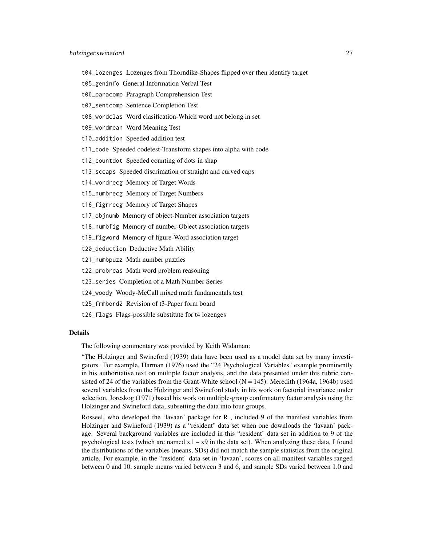- t04\_lozenges Lozenges from Thorndike-Shapes flipped over then identify target
- t05\_geninfo General Information Verbal Test
- t06\_paracomp Paragraph Comprehension Test
- t07\_sentcomp Sentence Completion Test
- t08\_wordclas Word clasification-Which word not belong in set
- t09\_wordmean Word Meaning Test
- t10\_addition Speeded addition test
- t11\_code Speeded codetest-Transform shapes into alpha with code
- t12\_countdot Speeded counting of dots in shap
- t13\_sccaps Speeded discrimation of straight and curved caps
- t14\_wordrecg Memory of Target Words
- t15\_numbrecg Memory of Target Numbers
- t16\_figrrecg Memory of Target Shapes
- t17\_objnumb Memory of object-Number association targets
- t18\_numbfig Memory of number-Object association targets
- t19\_figword Memory of figure-Word association target
- t20\_deduction Deductive Math Ability
- t21\_numbpuzz Math number puzzles
- t22\_probreas Math word problem reasoning
- t23\_series Completion of a Math Number Series
- t24\_woody Woody-McCall mixed math fundamentals test
- t25\_frmbord2 Revision of t3-Paper form board
- t26\_flags Flags-possible substitute for t4 lozenges

#### Details

The following commentary was provided by Keith Widaman:

"The Holzinger and Swineford (1939) data have been used as a model data set by many investigators. For example, Harman (1976) used the "24 Psychological Variables" example prominently in his authoritative text on multiple factor analysis, and the data presented under this rubric consisted of 24 of the variables from the Grant-White school ( $N = 145$ ). Meredith (1964a, 1964b) used several variables from the Holzinger and Swineford study in his work on factorial invariance under selection. Joreskog (1971) based his work on multiple-group confirmatory factor analysis using the Holzinger and Swineford data, subsetting the data into four groups.

Rosseel, who developed the 'lavaan' package for R , included 9 of the manifest variables from Holzinger and Swineford (1939) as a "resident" data set when one downloads the 'lavaan' package. Several background variables are included in this "resident" data set in addition to 9 of the psychological tests (which are named  $x1 - x9$  in the data set). When analyzing these data, I found the distributions of the variables (means, SDs) did not match the sample statistics from the original article. For example, in the "resident" data set in 'lavaan', scores on all manifest variables ranged between 0 and 10, sample means varied between 3 and 6, and sample SDs varied between 1.0 and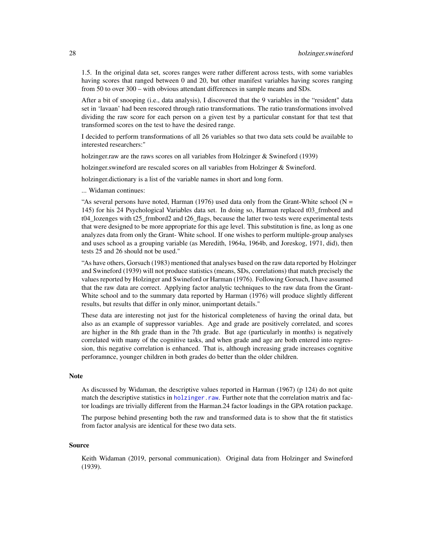<span id="page-27-0"></span>1.5. In the original data set, scores ranges were rather different across tests, with some variables having scores that ranged between 0 and 20, but other manifest variables having scores ranging from 50 to over 300 – with obvious attendant differences in sample means and SDs.

After a bit of snooping (i.e., data analysis), I discovered that the 9 variables in the "resident" data set in 'lavaan' had been rescored through ratio transformations. The ratio transformations involved dividing the raw score for each person on a given test by a particular constant for that test that transformed scores on the test to have the desired range.

I decided to perform transformations of all 26 variables so that two data sets could be available to interested researchers:"

holzinger.raw are the raws scores on all variables from Holzinger & Swineford (1939)

holzinger.swineford are rescaled scores on all variables from Holzinger & Swineford.

holzinger.dictionary is a list of the variable names in short and long form.

... Widaman continues:

"As several persons have noted, Harman (1976) used data only from the Grant-White school ( $N =$ 145) for his 24 Psychological Variables data set. In doing so, Harman replaced t03\_frmbord and t04 lozenges with t25 frmbord2 and t26 flags, because the latter two tests were experimental tests that were designed to be more appropriate for this age level. This substitution is fine, as long as one analyzes data from only the Grant- White school. If one wishes to perform multiple-group analyses and uses school as a grouping variable (as Meredith, 1964a, 1964b, and Joreskog, 1971, did), then tests 25 and 26 should not be used."

"As have others, Gorsuch (1983) mentioned that analyses based on the raw data reported by Holzinger and Swineford (1939) will not produce statistics (means, SDs, correlations) that match precisely the values reported by Holzinger and Swineford or Harman (1976). Following Gorsuch, I have assumed that the raw data are correct. Applying factor analytic techniques to the raw data from the Grant-White school and to the summary data reported by Harman (1976) will produce slightly different results, but results that differ in only minor, unimportant details."

These data are interesting not just for the historical completeness of having the orinal data, but also as an example of suppressor variables. Age and grade are positively correlated, and scores are higher in the 8th grade than in the 7th grade. But age (particularly in months) is negatively correlated with many of the cognitive tasks, and when grade and age are both entered into regression, this negative correlation is enhanced. That is, although increasing grade increases cognitive perforamnce, younger children in both grades do better than the older children.

#### Note

As discussed by Widaman, the descriptive values reported in Harman (1967) (p 124) do not quite match the descriptive statistics in [holzinger.raw](#page-25-1). Further note that the correlation matrix and factor loadings are trivially different from the Harman.24 factor loadings in the GPA rotation package.

The purpose behind presenting both the raw and transformed data is to show that the fit statistics from factor analysis are identical for these two data sets.

#### Source

Keith Widaman (2019, personal communication). Original data from Holzinger and Swineford (1939).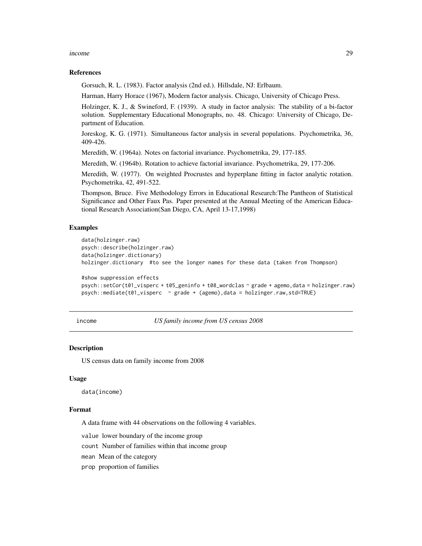#### <span id="page-28-0"></span>income 29

#### References

Gorsuch, R. L. (1983). Factor analysis (2nd ed.). Hillsdale, NJ: Erlbaum.

Harman, Harry Horace (1967), Modern factor analysis. Chicago, University of Chicago Press.

Holzinger, K. J., & Swineford, F. (1939). A study in factor analysis: The stability of a bi-factor solution. Supplementary Educational Monographs, no. 48. Chicago: University of Chicago, Department of Education.

Joreskog, K. G. (1971). Simultaneous factor analysis in several populations. Psychometrika, 36, 409-426.

Meredith, W. (1964a). Notes on factorial invariance. Psychometrika, 29, 177-185.

Meredith, W. (1964b). Rotation to achieve factorial invariance. Psychometrika, 29, 177-206.

Meredith, W. (1977). On weighted Procrustes and hyperplane fitting in factor analytic rotation. Psychometrika, 42, 491-522.

Thompson, Bruce. Five Methodology Errors in Educational Research:The Pantheon of Statistical Significance and Other Faux Pas. Paper presented at the Annual Meeting of the American Educational Research Association(San Diego, CA, April 13-17,1998)

### Examples

```
data(holzinger.raw)
psych::describe(holzinger.raw)
data(holzinger.dictionary)
holzinger.dictionary #to see the longer names for these data (taken from Thompson)
#show suppression effects
```

```
psych::setCor(t01_visperc + t05_geninfo + t08_wordclas ~ grade + agemo,data = holzinger.raw)
psych::mediate(t01_visperc ~ grade + (agemo),data = holzinger.raw,std=TRUE)
```
<span id="page-28-1"></span>income *US family income from US census 2008*

#### **Description**

US census data on family income from 2008

#### Usage

data(income)

### Format

A data frame with 44 observations on the following 4 variables.

value lower boundary of the income group

count Number of families within that income group

mean Mean of the category

prop proportion of families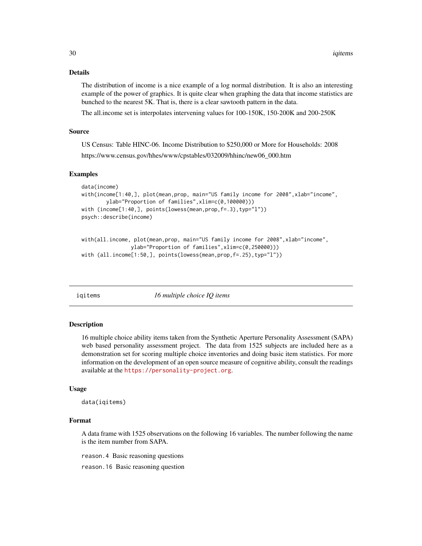#### <span id="page-29-0"></span>Details

The distribution of income is a nice example of a log normal distribution. It is also an interesting example of the power of graphics. It is quite clear when graphing the data that income statistics are bunched to the nearest 5K. That is, there is a clear sawtooth pattern in the data.

The all.income set is interpolates intervening values for 100-150K, 150-200K and 200-250K

#### Source

US Census: Table HINC-06. Income Distribution to \$250,000 or More for Households: 2008 https://www.census.gov/hhes/www/cpstables/032009/hhinc/new06\_000.htm

#### Examples

```
data(income)
with(income[1:40,], plot(mean,prop, main="US family income for 2008",xlab="income",
        ylab="Proportion of families",xlim=c(0,100000)))
with (income[1:40,], points(lowess(mean,prop,f=.3),typ="l"))
psych::describe(income)
```

```
with(all.income, plot(mean,prop, main="US family income for 2008", xlab="income",
                ylab="Proportion of families",xlim=c(0,250000)))
with (all.income[1:50,], points(lowess(mean,prop,f=.25),typ="l"))
```
<span id="page-29-1"></span>iqitems *16 multiple choice IQ items*

### Description

16 multiple choice ability items taken from the Synthetic Aperture Personality Assessment (SAPA) web based personality assessment project. The data from 1525 subjects are included here as a demonstration set for scoring multiple choice inventories and doing basic item statistics. For more information on the development of an open source measure of cognitive ability, consult the readings available at the <https://personality-project.org>.

#### Usage

data(iqitems)

### Format

A data frame with 1525 observations on the following 16 variables. The number following the name is the item number from SAPA.

reason.4 Basic reasoning questions

reason.16 Basic reasoning question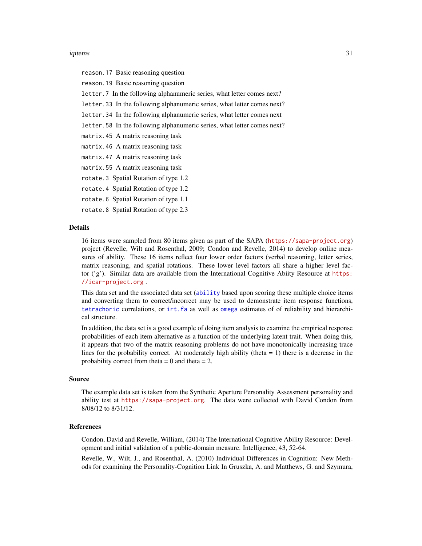#### <span id="page-30-0"></span>iqitems 31

reason.17 Basic reasoning question reason.19 Basic reasoning question letter.7 In the following alphanumeric series, what letter comes next? letter.33 In the following alphanumeric series, what letter comes next? letter.34 In the following alphanumeric series, what letter comes next letter.58 In the following alphanumeric series, what letter comes next? matrix.45 A matrix reasoning task matrix.46 A matrix reasoning task matrix.47 A matrix reasoning task matrix.55 A matrix reasoning task rotate.3 Spatial Rotation of type 1.2 rotate.4 Spatial Rotation of type 1.2 rotate.6 Spatial Rotation of type 1.1

rotate.8 Spatial Rotation of type 2.3

#### Details

16 items were sampled from 80 items given as part of the SAPA (<https://sapa-project.org>) project (Revelle, Wilt and Rosenthal, 2009; Condon and Revelle, 2014) to develop online measures of ability. These 16 items reflect four lower order factors (verbal reasoning, letter series, matrix reasoning, and spatial rotations. These lower level factors all share a higher level factor ('g'). Similar data are available from the International Cognitive Abiity Resource at [https:](https://icar-project.org) [//icar-project.org](https://icar-project.org) .

This data set and the associated data set ([ability](#page-1-1) based upon scoring these multiple choice items and converting them to correct/incorrect may be used to demonstrate item response functions, [tetrachoric](#page-0-0) correlations, or [irt.fa](#page-0-0) as well as [omega](#page-0-0) estimates of of reliability and hierarchical structure.

In addition, the data set is a good example of doing item analysis to examine the empirical response probabilities of each item alternative as a function of the underlying latent trait. When doing this, it appears that two of the matrix reasoning problems do not have monotonically increasing trace lines for the probability correct. At moderately high ability (theta  $= 1$ ) there is a decrease in the probability correct from theta  $= 0$  and theta  $= 2$ .

#### Source

The example data set is taken from the Synthetic Aperture Personality Assessment personality and ability test at <https://sapa-project.org>. The data were collected with David Condon from 8/08/12 to 8/31/12.

#### References

Condon, David and Revelle, William, (2014) The International Cognitive Ability Resource: Development and initial validation of a public-domain measure. Intelligence, 43, 52-64.

Revelle, W., Wilt, J., and Rosenthal, A. (2010) Individual Differences in Cognition: New Methods for examining the Personality-Cognition Link In Gruszka, A. and Matthews, G. and Szymura,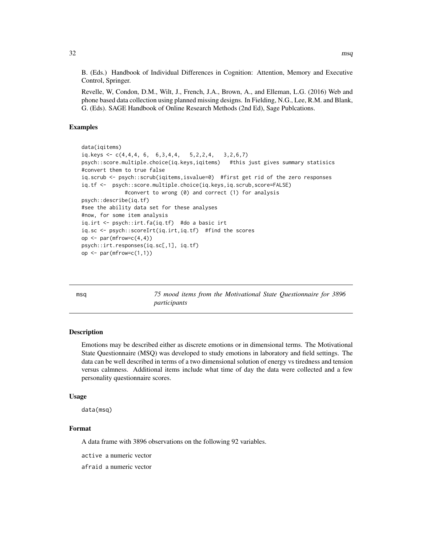<span id="page-31-0"></span>B. (Eds.) Handbook of Individual Differences in Cognition: Attention, Memory and Executive Control, Springer.

Revelle, W, Condon, D.M., Wilt, J., French, J.A., Brown, A., and Elleman, L.G. (2016) Web and phone based data collection using planned missing designs. In Fielding, N.G., Lee, R.M. and Blank, G. (Eds). SAGE Handbook of Online Research Methods (2nd Ed), Sage Publcations.

#### Examples

```
data(iqitems)
iq.keys \leftarrow c(4,4,4,6, 6,3,4,4, 5,2,2,4, 3,2,6,7)psych::score.multiple.choice(iq.keys,iqitems) #this just gives summary statisics
#convert them to true false
iq.scrub <- psych::scrub(iqitems,isvalue=0) #first get rid of the zero responses
iq.tf <- psych::score.multiple.choice(iq.keys,iq.scrub,score=FALSE)
              #convert to wrong (0) and correct (1) for analysis
psych::describe(iq.tf)
#see the ability data set for these analyses
#now, for some item analysis
iq.irt <- psych::irt.fa(iq.tf) #do a basic irt
iq.sc <- psych::scoreIrt(iq.irt,iq.tf) #find the scores
op \leq par(mfrow=c(4,4))
psych::irt.responses(iq.sc[,1], iq.tf)
op \leq par(mfrow=c(1,1))
```
<span id="page-31-1"></span>msq *75 mood items from the Motivational State Questionnaire for 3896 participants*

### Description

Emotions may be described either as discrete emotions or in dimensional terms. The Motivational State Questionnaire (MSQ) was developed to study emotions in laboratory and field settings. The data can be well described in terms of a two dimensional solution of energy vs tiredness and tension versus calmness. Additional items include what time of day the data were collected and a few personality questionnaire scores.

#### Usage

data(msq)

### Format

A data frame with 3896 observations on the following 92 variables.

active a numeric vector

afraid a numeric vector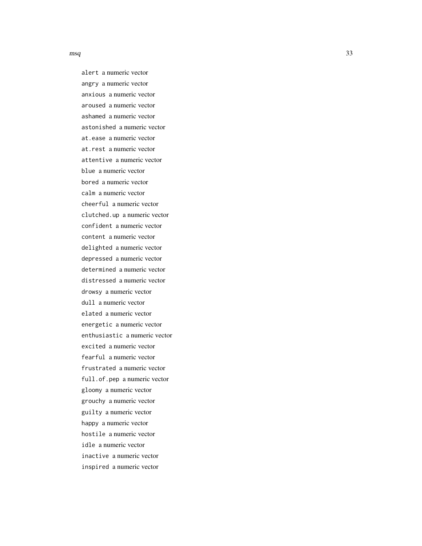$\log$  33

alert a numeric vector angry a numeric vector anxious a numeric vector aroused a numeric vector ashamed a numeric vector astonished a numeric vector at.ease a numeric vector at.rest a numeric vector attentive a numeric vector blue a numeric vector bored a numeric vector calm a numeric vector cheerful a numeric vector clutched.up a numeric vector confident a numeric vector content a numeric vector delighted a numeric vector depressed a numeric vector determined a numeric vector distressed a numeric vector drowsy a numeric vector dull a numeric vector elated a numeric vector energetic a numeric vector enthusiastic a numeric vector excited a numeric vector fearful a numeric vector frustrated a numeric vector full.of.pep a numeric vector gloomy a numeric vector grouchy a numeric vector guilty a numeric vector happy a numeric vector hostile a numeric vector idle a numeric vector inactive a numeric vector inspired a numeric vector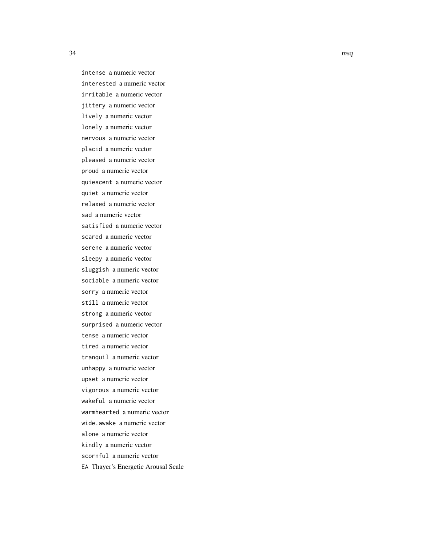intense a numeric vector interested a numeric vector irritable a numeric vector jittery a numeric vector lively a numeric vector lonely a numeric vector nervous a numeric vector placid a numeric vector pleased a numeric vector proud a numeric vector quiescent a numeric vector quiet a numeric vector relaxed a numeric vector sad a numeric vector satisfied a numeric vector scared a numeric vector serene a numeric vector sleepy a numeric vector sluggish a numeric vector sociable a numeric vector sorry a numeric vector still a numeric vector strong a numeric vector surprised a numeric vector tense a numeric vector tired a numeric vector tranquil a numeric vector unhappy a numeric vector upset a numeric vector vigorous a numeric vector wakeful a numeric vector warmhearted a numeric vector wide.awake a numeric vector alone a numeric vector kindly a numeric vector scornful a numeric vector EA Thayer's Energetic Arousal Scale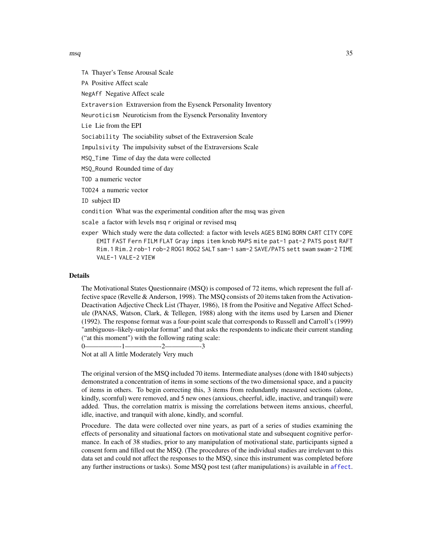<span id="page-34-0"></span>TA Thayer's Tense Arousal Scale

PA Positive Affect scale

NegAff Negative Affect scale

Extraversion Extraversion from the Eysenck Personality Inventory

Neuroticism Neuroticism from the Eysenck Personality Inventory

Lie Lie from the EPI

Sociability The sociability subset of the Extraversion Scale

Impulsivity The impulsivity subset of the Extraversions Scale

MSQ\_Time Time of day the data were collected

MSQ\_Round Rounded time of day

TOD a numeric vector

TOD24 a numeric vector

ID subject ID

condition What was the experimental condition after the msq was given

scale a factor with levels msq r original or revised msq

exper Which study were the data collected: a factor with levels AGES BING BORN CART CITY COPE EMIT FAST Fern FILM FLAT Gray imps item knob MAPS mite pat-1 pat-2 PATS post RAFT Rim.1 Rim.2 rob-1 rob-2 ROG1 ROG2 SALT sam-1 sam-2 SAVE/PATS sett swam swam-2 TIME VALE-1 VALE-2 VIEW

#### **Details**

The Motivational States Questionnaire (MSQ) is composed of 72 items, which represent the full affective space (Revelle & Anderson, 1998). The MSQ consists of 20 items taken from the Activation-Deactivation Adjective Check List (Thayer, 1986), 18 from the Positive and Negative Affect Schedule (PANAS, Watson, Clark, & Tellegen, 1988) along with the items used by Larsen and Diener (1992). The response format was a four-point scale that corresponds to Russell and Carroll's (1999) "ambiguous–likely-unipolar format" and that asks the respondents to indicate their current standing ("at this moment") with the following rating scale:

0—————-1—————-2—————-3

Not at all A little Moderately Very much

The original version of the MSQ included 70 items. Intermediate analyses (done with 1840 subjects) demonstrated a concentration of items in some sections of the two dimensional space, and a paucity of items in others. To begin correcting this, 3 items from redundantly measured sections (alone, kindly, scornful) were removed, and 5 new ones (anxious, cheerful, idle, inactive, and tranquil) were added. Thus, the correlation matrix is missing the correlations between items anxious, cheerful, idle, inactive, and tranquil with alone, kindly, and scornful.

Procedure. The data were collected over nine years, as part of a series of studies examining the effects of personality and situational factors on motivational state and subsequent cognitive performance. In each of 38 studies, prior to any manipulation of motivational state, participants signed a consent form and filled out the MSQ. (The procedures of the individual studies are irrelevant to this data set and could not affect the responses to the MSQ, since this instrument was completed before any further instructions or tasks). Some MSQ post test (after manipulations) is available in [affect](#page-3-1).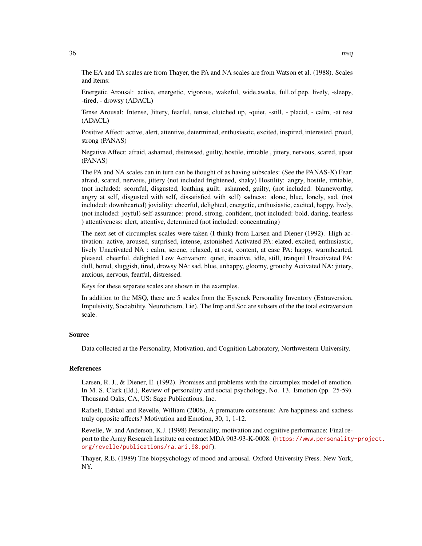The EA and TA scales are from Thayer, the PA and NA scales are from Watson et al. (1988). Scales and items:

Energetic Arousal: active, energetic, vigorous, wakeful, wide.awake, full.of.pep, lively, -sleepy, -tired, - drowsy (ADACL)

Tense Arousal: Intense, Jittery, fearful, tense, clutched up, -quiet, -still, - placid, - calm, -at rest (ADACL)

Positive Affect: active, alert, attentive, determined, enthusiastic, excited, inspired, interested, proud, strong (PANAS)

Negative Affect: afraid, ashamed, distressed, guilty, hostile, irritable , jittery, nervous, scared, upset (PANAS)

The PA and NA scales can in turn can be thought of as having subscales: (See the PANAS-X) Fear: afraid, scared, nervous, jittery (not included frightened, shaky) Hostility: angry, hostile, irritable, (not included: scornful, disgusted, loathing guilt: ashamed, guilty, (not included: blameworthy, angry at self, disgusted with self, dissatisfied with self) sadness: alone, blue, lonely, sad, (not included: downhearted) joviality: cheerful, delighted, energetic, enthusiastic, excited, happy, lively, (not included: joyful) self-assurance: proud, strong, confident, (not included: bold, daring, fearless ) attentiveness: alert, attentive, determined (not included: concentrating)

The next set of circumplex scales were taken (I think) from Larsen and Diener (1992). High activation: active, aroused, surprised, intense, astonished Activated PA: elated, excited, enthusiastic, lively Unactivated NA : calm, serene, relaxed, at rest, content, at ease PA: happy, warmhearted, pleased, cheerful, delighted Low Activation: quiet, inactive, idle, still, tranquil Unactivated PA: dull, bored, sluggish, tired, drowsy NA: sad, blue, unhappy, gloomy, grouchy Activated NA: jittery, anxious, nervous, fearful, distressed.

Keys for these separate scales are shown in the examples.

In addition to the MSQ, there are 5 scales from the Eysenck Personality Inventory (Extraversion, Impulsivity, Sociability, Neuroticism, Lie). The Imp and Soc are subsets of the the total extraversion scale.

#### Source

Data collected at the Personality, Motivation, and Cognition Laboratory, Northwestern University.

### References

Larsen, R. J., & Diener, E. (1992). Promises and problems with the circumplex model of emotion. In M. S. Clark (Ed.), Review of personality and social psychology, No. 13. Emotion (pp. 25-59). Thousand Oaks, CA, US: Sage Publications, Inc.

Rafaeli, Eshkol and Revelle, William (2006), A premature consensus: Are happiness and sadness truly opposite affects? Motivation and Emotion, 30, 1, 1-12.

Revelle, W. and Anderson, K.J. (1998) Personality, motivation and cognitive performance: Final report to the Army Research Institute on contract MDA 903-93-K-0008. ([https://www.personality](https://www.personality-project.org/revelle/publications/ra.ari.98.pdf)-project. [org/revelle/publications/ra.ari.98.pdf](https://www.personality-project.org/revelle/publications/ra.ari.98.pdf)).

Thayer, R.E. (1989) The biopsychology of mood and arousal. Oxford University Press. New York, NY.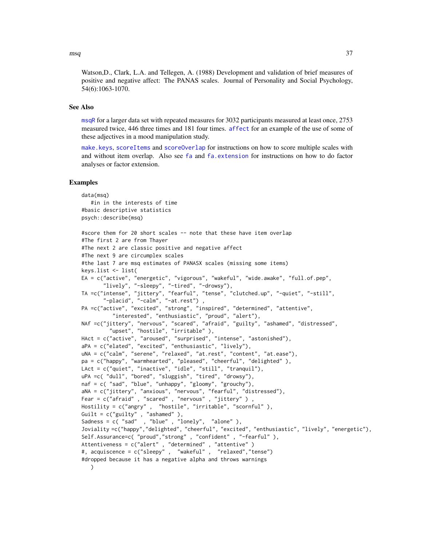<span id="page-36-0"></span>Watson,D., Clark, L.A. and Tellegen, A. (1988) Development and validation of brief measures of positive and negative affect: The PANAS scales. Journal of Personality and Social Psychology, 54(6):1063-1070.

### See Also

[msqR](#page-37-1) for a larger data set with repeated measures for 3032 participants measured at least once, 2753 measured twice, 446 three times and 181 four times. [affect](#page-3-1) for an example of the use of some of these adjectives in a mood manipulation study.

[make.keys](#page-0-0), [scoreItems](#page-0-0) and [scoreOverlap](#page-0-0) for instructions on how to score multiple scales with and without item overlap. Also see [fa](#page-0-0) and [fa.extension](#page-0-0) for instructions on how to do factor analyses or factor extension.

#### Examples

```
data(msq)
  #in in the interests of time
#basic descriptive statistics
psych::describe(msq)
```

```
#score them for 20 short scales -- note that these have item overlap
#The first 2 are from Thayer
#The next 2 are classic positive and negative affect
#The next 9 are circumplex scales
#the last 7 are msq estimates of PANASX scales (missing some items)
keys.list <- list(
EA = c("active", "energetic", "vigorous", "wakeful", "wide.awake", "full.of.pep",
       "lively", "-sleepy", "-tired", "-drowsy"),
TA =c("intense", "jittery", "fearful", "tense", "clutched.up", "-quiet", "-still",
       "-placid", "-calm", "-at.rest") ,
PA =c("active", "excited", "strong", "inspired", "determined", "attentive",
          "interested", "enthusiastic", "proud", "alert"),
NAf =c("jittery", "nervous", "scared", "afraid", "guilty", "ashamed", "distressed",
         "upset", "hostile", "irritable" ),
HAct = c("active", "aroused", "surprised", "intense", "astonished"),
aPA = c("elated", "excited", "enthusiastic", "lively"),
uNA = c("calm", "serene", "relaxed", "at.rest", "content", "at.ease"),
pa = c("happy", "warmhearted", "pleased", "cheerful", "delighted" ),
LAct = c("quiet", "inactive", "idle", "still", "tranquil"),
uPA =c( "dull", "bored", "sluggish", "tired", "drowsy"),
naf = c( "sad", "blue", "unhappy", "gloomy", "grouchy"),
aNA = c("jittery", "anxious", "nervous", "fearful", "distressed"),
Fear = c("afraid", "scared", "nervous", "jittery")
Hostility = c("angry" , "hostile", "irritable", "scornful" ),
Guilt = c("guilty" , "ashamed" ),
Sadness = c( "sad" , "blue" , "lonely", "alone" ),
Joviality =c("happy","delighted", "cheerful", "excited", "enthusiastic", "lively", "energetic"),
Self.Assurance=c( "proud","strong" , "confident" , "-fearful" ),
Attentiveness = c("alert" , "determined" , "attentive" )
#, acquiscence = c("sleepy" , "wakeful" , "relaxed","tense")
#dropped because it has a negative alpha and throws warnings
   )
```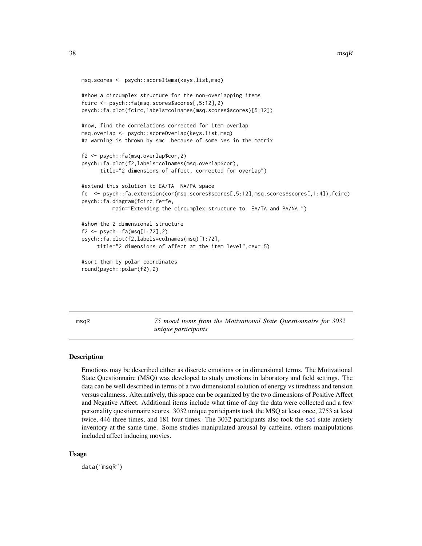```
msq.scores <- psych::scoreItems(keys.list,msq)
#show a circumplex structure for the non-overlapping items
fcirc <- psych::fa(msq.scores$scores[,5:12],2)
psych::fa.plot(fcirc,labels=colnames(msq.scores$scores)[5:12])
#now, find the correlations corrected for item overlap
msq.overlap <- psych::scoreOverlap(keys.list,msq)
#a warning is thrown by smc because of some NAs in the matrix
f2 <- psych::fa(msq.overlap$cor,2)
psych::fa.plot(f2,labels=colnames(msq.overlap$cor),
      title="2 dimensions of affect, corrected for overlap")
#extend this solution to EA/TA NA/PA space
fe <- psych::fa.extension(cor(msq.scores$scores[,5:12],msq.scores$scores[,1:4]),fcirc)
psych::fa.diagram(fcirc,fe=fe,
          main="Extending the circumplex structure to EA/TA and PA/NA ")
#show the 2 dimensional structure
f2 \leq -psych::fa(msq[1:72],2)psych::fa.plot(f2,labels=colnames(msq)[1:72],
     title="2 dimensions of affect at the item level",cex=.5)
#sort them by polar coordinates
round(psych::polar(f2),2)
```
<span id="page-37-1"></span>

msqR *75 mood items from the Motivational State Questionnaire for 3032 unique participants*

### **Description**

Emotions may be described either as discrete emotions or in dimensional terms. The Motivational State Questionnaire (MSQ) was developed to study emotions in laboratory and field settings. The data can be well described in terms of a two dimensional solution of energy vs tiredness and tension versus calmness. Alternatively, this space can be organized by the two dimensions of Positive Affect and Negative Affect. Additional items include what time of day the data were collected and a few personality questionnaire scores. 3032 unique participants took the MSQ at least once, 2753 at least twice, 446 three times, and 181 four times. The 3032 participants also took the [sai](#page-54-1) state anxiety inventory at the same time. Some studies manipulated arousal by caffeine, others manipulations included affect inducing movies.

#### Usage

data("msqR")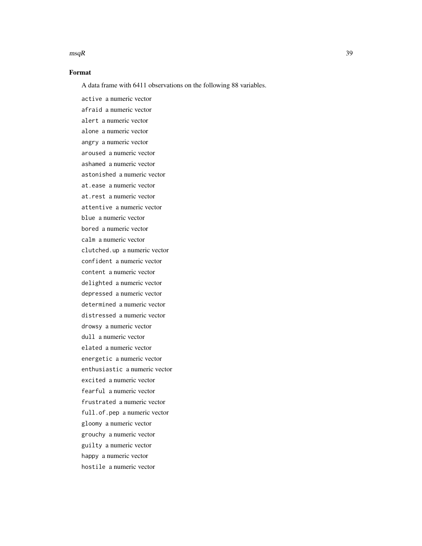#### $\text{magR}$  39

### Format

A data frame with 6411 observations on the following 88 variables.

active a numeric vector afraid a numeric vector alert a numeric vector alone a numeric vector angry a numeric vector aroused a numeric vector ashamed a numeric vector astonished a numeric vector at.ease a numeric vector at.rest a numeric vector attentive a numeric vector blue a numeric vector bored a numeric vector calm a numeric vector clutched.up a numeric vector confident a numeric vector content a numeric vector delighted a numeric vector depressed a numeric vector determined a numeric vector distressed a numeric vector drowsy a numeric vector dull a numeric vector elated a numeric vector energetic a numeric vector enthusiastic a numeric vector excited a numeric vector fearful a numeric vector frustrated a numeric vector full.of.pep a numeric vector gloomy a numeric vector grouchy a numeric vector guilty a numeric vector happy a numeric vector hostile a numeric vector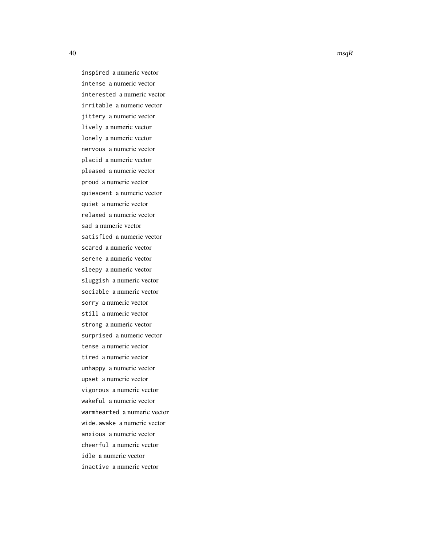inspired a numeric vector intense a numeric vector interested a numeric vector irritable a numeric vector jittery a numeric vector lively a numeric vector lonely a numeric vector nervous a numeric vector placid a numeric vector pleased a numeric vector proud a numeric vector quiescent a numeric vector quiet a numeric vector relaxed a numeric vector sad a numeric vector satisfied a numeric vector scared a numeric vector serene a numeric vector sleepy a numeric vector sluggish a numeric vector sociable a numeric vector sorry a numeric vector still a numeric vector strong a numeric vector surprised a numeric vector tense a numeric vector tired a numeric vector unhappy a numeric vector upset a numeric vector vigorous a numeric vector wakeful a numeric vector warmhearted a numeric vector wide.awake a numeric vector anxious a numeric vector cheerful a numeric vector idle a numeric vector inactive a numeric vector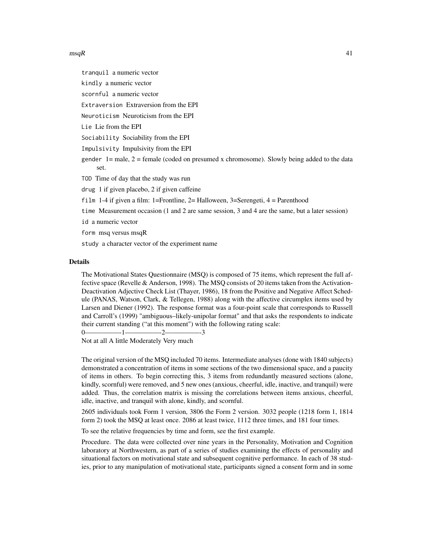#### $\text{magR}$  and the set of the set of the set of the set of the set of the set of the set of the set of the set of the set of the set of the set of the set of the set of the set of the set of the set of the set of the set of

tranquil a numeric vector

kindly a numeric vector

scornful a numeric vector

Extraversion Extraversion from the EPI

Neuroticism Neuroticism from the EPI

Lie Lie from the EPI

Sociability Sociability from the EPI

Impulsivity Impulsivity from the EPI

gender  $1=$  male,  $2=$  female (coded on presumed x chromosome). Slowly being added to the data set.

TOD Time of day that the study was run

drug 1 if given placebo, 2 if given caffeine

film 1-4 if given a film: 1=Frontline, 2= Halloween, 3=Serengeti,  $4 =$  Parenthood

time Measurement occasion (1 and 2 are same session, 3 and 4 are the same, but a later session)

id a numeric vector

form msq versus msqR

study a character vector of the experiment name

#### Details

The Motivational States Questionnaire (MSQ) is composed of 75 items, which represent the full affective space (Revelle & Anderson, 1998). The MSQ consists of 20 items taken from the Activation-Deactivation Adjective Check List (Thayer, 1986), 18 from the Positive and Negative Affect Schedule (PANAS, Watson, Clark, & Tellegen, 1988) along with the affective circumplex items used by Larsen and Diener (1992). The response format was a four-point scale that corresponds to Russell and Carroll's (1999) "ambiguous–likely-unipolar format" and that asks the respondents to indicate their current standing ("at this moment") with the following rating scale:

0—————-1—————-2—————-3

Not at all A little Moderately Very much

The original version of the MSQ included 70 items. Intermediate analyses (done with 1840 subjects) demonstrated a concentration of items in some sections of the two dimensional space, and a paucity of items in others. To begin correcting this, 3 items from redundantly measured sections (alone, kindly, scornful) were removed, and 5 new ones (anxious, cheerful, idle, inactive, and tranquil) were added. Thus, the correlation matrix is missing the correlations between items anxious, cheerful, idle, inactive, and tranquil with alone, kindly, and scornful.

2605 individuals took Form 1 version, 3806 the Form 2 version. 3032 people (1218 form 1, 1814 form 2) took the MSQ at least once. 2086 at least twice, 1112 three times, and 181 four times.

To see the relative frequencies by time and form, see the first example.

Procedure. The data were collected over nine years in the Personality, Motivation and Cognition laboratory at Northwestern, as part of a series of studies examining the effects of personality and situational factors on motivational state and subsequent cognitive performance. In each of 38 studies, prior to any manipulation of motivational state, participants signed a consent form and in some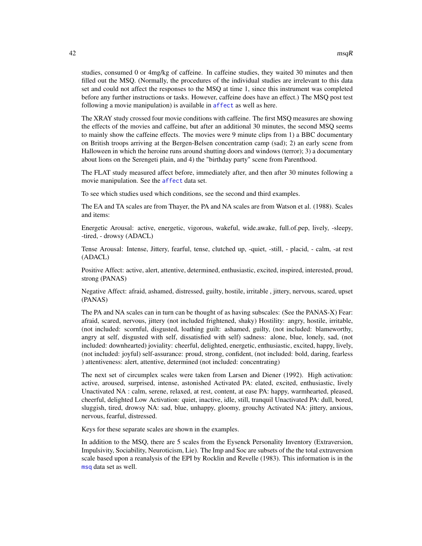studies, consumed 0 or 4mg/kg of caffeine. In caffeine studies, they waited 30 minutes and then filled out the MSQ. (Normally, the procedures of the individual studies are irrelevant to this data set and could not affect the responses to the MSQ at time 1, since this instrument was completed before any further instructions or tasks. However, caffeine does have an effect.) The MSQ post test following a movie manipulation) is available in [affect](#page-3-1) as well as here.

The XRAY study crossed four movie conditions with caffeine. The first MSQ measures are showing the effects of the movies and caffeine, but after an additional 30 minutes, the second MSQ seems to mainly show the caffeine effects. The movies were 9 minute clips from 1) a BBC documentary on British troops arriving at the Bergen-Belsen concentration camp (sad); 2) an early scene from Halloween in which the heroine runs around shutting doors and windows (terror); 3) a documentary about lions on the Serengeti plain, and 4) the "birthday party" scene from Parenthood.

The FLAT study measured affect before, immediately after, and then after 30 minutes following a movie manipulation. See the [affect](#page-3-1) data set.

To see which studies used which conditions, see the second and third examples.

The EA and TA scales are from Thayer, the PA and NA scales are from Watson et al. (1988). Scales and items:

Energetic Arousal: active, energetic, vigorous, wakeful, wide.awake, full.of.pep, lively, -sleepy, -tired, - drowsy (ADACL)

Tense Arousal: Intense, Jittery, fearful, tense, clutched up, -quiet, -still, - placid, - calm, -at rest (ADACL)

Positive Affect: active, alert, attentive, determined, enthusiastic, excited, inspired, interested, proud, strong (PANAS)

Negative Affect: afraid, ashamed, distressed, guilty, hostile, irritable , jittery, nervous, scared, upset (PANAS)

The PA and NA scales can in turn can be thought of as having subscales: (See the PANAS-X) Fear: afraid, scared, nervous, jittery (not included frightened, shaky) Hostility: angry, hostile, irritable, (not included: scornful, disgusted, loathing guilt: ashamed, guilty, (not included: blameworthy, angry at self, disgusted with self, dissatisfied with self) sadness: alone, blue, lonely, sad, (not included: downhearted) joviality: cheerful, delighted, energetic, enthusiastic, excited, happy, lively, (not included: joyful) self-assurance: proud, strong, confident, (not included: bold, daring, fearless ) attentiveness: alert, attentive, determined (not included: concentrating)

The next set of circumplex scales were taken from Larsen and Diener (1992). High activation: active, aroused, surprised, intense, astonished Activated PA: elated, excited, enthusiastic, lively Unactivated NA : calm, serene, relaxed, at rest, content, at ease PA: happy, warmhearted, pleased, cheerful, delighted Low Activation: quiet, inactive, idle, still, tranquil Unactivated PA: dull, bored, sluggish, tired, drowsy NA: sad, blue, unhappy, gloomy, grouchy Activated NA: jittery, anxious, nervous, fearful, distressed.

Keys for these separate scales are shown in the examples.

In addition to the MSQ, there are 5 scales from the Eysenck Personality Inventory (Extraversion, Impulsivity, Sociability, Neuroticism, Lie). The Imp and Soc are subsets of the the total extraversion scale based upon a reanalysis of the EPI by Rocklin and Revelle (1983). This information is in the [msq](#page-31-1) data set as well.

<span id="page-41-0"></span>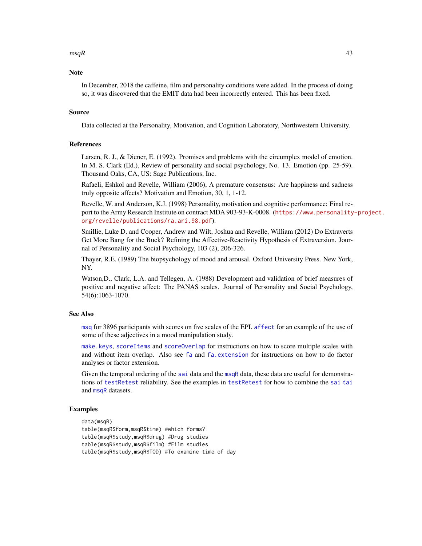#### <span id="page-42-0"></span> $mgR$  and the set of the set of the set of the set of the set of the set of the set of the set of the set of the set of the set of the set of the set of the set of the set of the set of the set of the set of the set of the

#### **Note**

In December, 2018 the caffeine, film and personality conditions were added. In the process of doing so, it was discovered that the EMIT data had been incorrectly entered. This has been fixed.

#### Source

Data collected at the Personality, Motivation, and Cognition Laboratory, Northwestern University.

#### References

Larsen, R. J., & Diener, E. (1992). Promises and problems with the circumplex model of emotion. In M. S. Clark (Ed.), Review of personality and social psychology, No. 13. Emotion (pp. 25-59). Thousand Oaks, CA, US: Sage Publications, Inc.

Rafaeli, Eshkol and Revelle, William (2006), A premature consensus: Are happiness and sadness truly opposite affects? Motivation and Emotion, 30, 1, 1-12.

Revelle, W. and Anderson, K.J. (1998) Personality, motivation and cognitive performance: Final report to the Army Research Institute on contract MDA 903-93-K-0008. ([https://www.personality](https://www.personality-project.org/revelle/publications/ra.ari.98.pdf)-project. [org/revelle/publications/ra.ari.98.pdf](https://www.personality-project.org/revelle/publications/ra.ari.98.pdf)).

Smillie, Luke D. and Cooper, Andrew and Wilt, Joshua and Revelle, William (2012) Do Extraverts Get More Bang for the Buck? Refining the Affective-Reactivity Hypothesis of Extraversion. Journal of Personality and Social Psychology, 103 (2), 206-326.

Thayer, R.E. (1989) The biopsychology of mood and arousal. Oxford University Press. New York, NY.

Watson,D., Clark, L.A. and Tellegen, A. (1988) Development and validation of brief measures of positive and negative affect: The PANAS scales. Journal of Personality and Social Psychology, 54(6):1063-1070.

#### See Also

[msq](#page-31-1) for 3896 participants with scores on five scales of the EPI. [affect](#page-3-1) for an example of the use of some of these adjectives in a mood manipulation study.

[make.keys](#page-0-0), [scoreItems](#page-0-0) and [scoreOverlap](#page-0-0) for instructions on how to score multiple scales with and without item overlap. Also see [fa](#page-0-0) and [fa.extension](#page-0-0) for instructions on how to do factor analyses or factor extension.

Given the temporal ordering of the [sai](#page-54-1) data and the [msqR](#page-37-1) data, these data are useful for demonstrations of [testRetest](#page-0-0) reliability. See the examples in [testRetest](#page-0-0) for how to combine the [sai](#page-54-1) [tai](#page-54-2) and [msqR](#page-37-1) datasets.

### Examples

```
data(msqR)
table(msqR$form,msqR$time) #which forms?
table(msqR$study,msqR$drug) #Drug studies
table(msqR$study,msqR$film) #Film studies
table(msqR$study,msqR$TOD) #To examine time of day
```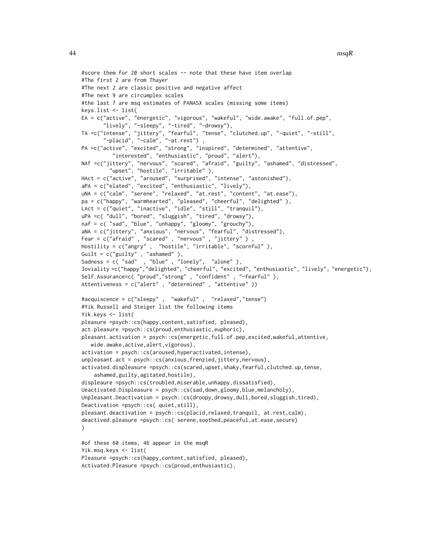```
#score them for 20 short scales -- note that these have item overlap
#The first 2 are from Thayer
#The next 2 are classic positive and negative affect
#The next 9 are circumplex scales
#the last 7 are msq estimates of PANASX scales (missing some items)
keys.list <- list(
EA = c("active", "energetic", "vigorous", "wakeful", "wide.awake", "full.of.pep",
       "lively", "-sleepy", "-tired", "-drowsy"),
TA =c("intense", "jittery", "fearful", "tense", "clutched.up", "-quiet", "-still",
       "-placid", "-calm", "-at.rest") ,
PA =c("active", "excited", "strong", "inspired", "determined", "attentive",
          "interested", "enthusiastic", "proud", "alert"),
NAf =c("jittery", "nervous", "scared", "afraid", "guilty", "ashamed", "distressed",
         "upset", "hostile", "irritable" ),
HAct = c("active", "aroused", "surprised", "intense", "astonished"),
aPA = c("elated", "excited", "enthusiastic", "lively"),
uNA = c("calm", "serene", "relaxed", "at.rest", "content", "at.ease"),
pa = c("happy", "warmhearted", "pleased", "cheerful", "delighted" ),
LAct = c("quiet", "inactive", "idle", "still", "tranquil"),
uPA =c( "dull", "bored", "sluggish", "tired", "drowsy"),
naf = c( "sad", "blue", "unhappy", "gloomy", "grouchy"),
aNA = c("jittery", "anxious", "nervous", "fearful", "distressed"),
Fear = c("afraid", "scared", "nervous", "jittery")
Hostility = c("angry" , "hostile", "irritable", "scornful" ),
Guilt = c("guilty" , "ashamed" ),
Sadness = c( "sad" , "blue" , "lonely", "alone" ),
Joviality =c("happy","delighted", "cheerful", "excited", "enthusiastic", "lively", "energetic"),
Self.Assurance=c( "proud","strong" , "confident" , "-fearful" ),
Attentiveness = c("alert" , "determined" , "attentive" ))
#acquiscence = c("sleepy" , "wakeful" , "relaxed","tense")
#Yik Russell and Steiger list the following items
Yik.keys <- list(
pleasure =psych::cs(happy,content,satisfied, pleased),
act.pleasure =psych::cs(proud,enthusiastic,euphoric),
pleasant.activation = psych::cs(energetic,full.of.pep,excited,wakeful,attentive,
   wide.awake,active,alert,vigorous),
activation = psych::cs(aroused,hyperactivated,intense),
unpleasant.act = psych::cs(anxious,frenzied,jittery,nervous),
activated.displeasure =psych::cs(scared,upset,shaky,fearful,clutched.up,tense,
    ashamed,guilty,agitated,hostile),
displeaure =psych::cs(troubled,miserable,unhappy,dissatisfied),
Ueactivated.Displeasure = psych::cs(sad,down,gloomy,blue,melancholy),
Unpleasant.Deactivation = psych::cs(droopy,drowsy,dull,bored,sluggish,tired),
Deactivation =psych::cs( quiet,still),
pleasant.deactivation = psych::cs(placid,relaxed,tranquil, at.rest,calm),
deactived.pleasure =psych::cs( serene,soothed,peaceful,at.ease,secure)
\lambda#of these 60 items, 46 appear in the msqR
Yik.msq.keys <- list(
Pleasure =psych::cs(happy,content,satisfied, pleased),
```

```
Activated.Pleasure =psych::cs(proud,enthusiastic),
```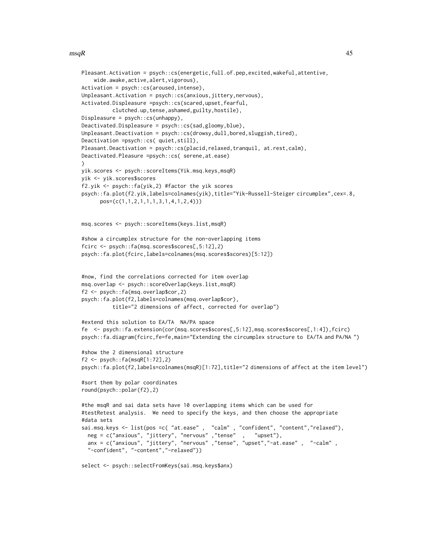#### $mgR$  and the set of the set of the set of the set of the set of the set of the set of the set of the set of the set of the set of the set of the set of the set of the set of the set of the set of the set of the set of the

```
Pleasant.Activation = psych::cs(energetic,full.of.pep,excited,wakeful,attentive,
    wide.awake,active,alert,vigorous),
Activation = psych::cs(aroused,intense),
Unpleasant.Activation = psych::cs(anxious,jittery,nervous),
Activated.Displeasure =psych::cs(scared,upset,fearful,
          clutched.up,tense,ashamed,guilty,hostile),
Displeasure = psych::cs(unhappy),
Deactivated.Displeasure = psych::cs(sad,gloomy,blue),
Unpleasant.Deactivation = psych::cs(drowsy,dull,bored,sluggish,tired),
Deactivation =psych::cs( quiet,still),
Pleasant.Deactivation = psych::cs(placid,relaxed,tranquil, at.rest,calm),
Deactivated.Pleasure =psych::cs( serene,at.ease)
)
yik.scores <- psych::scoreItems(Yik.msq.keys,msqR)
yik <- yik.scores$scores
f2.yik <- psych::fa(yik,2) #factor the yik scores
psych::fa.plot(f2.yik,labels=colnames(yik),title="Yik-Russell-Steiger circumplex",cex=.8,
      pos=(c(1,1,2,1,1,1,3,1,4,1,2,4)))
msq.scores <- psych::scoreItems(keys.list,msqR)
#show a circumplex structure for the non-overlapping items
fcirc <- psych::fa(msq.scores$scores[,5:12],2)
psych::fa.plot(fcirc,labels=colnames(msq.scores$scores)[5:12])
#now, find the correlations corrected for item overlap
msq.overlap <- psych::scoreOverlap(keys.list,msqR)
f2 <- psych::fa(msq.overlap$cor,2)
psych::fa.plot(f2,labels=colnames(msq.overlap$cor),
          title="2 dimensions of affect, corrected for overlap")
#extend this solution to EA/TA NA/PA space
fe <- psych::fa.extension(cor(msq.scores$scores[,5:12],msq.scores$scores[,1:4]),fcirc)
psych::fa.diagram(fcirc,fe=fe,main="Extending the circumplex structure to EA/TA and PA/NA ")
#show the 2 dimensional structure
f2 <- psych::fa(msqR[1:72],2)psych::fa.plot(f2,labels=colnames(msqR)[1:72],title="2 dimensions of affect at the item level")
#sort them by polar coordinates
round(psych::polar(f2),2)
#the msqR and sai data sets have 10 overlapping items which can be used for
#testRetest analysis. We need to specify the keys, and then choose the appropriate
#data sets
sai.msq.keys <- list(pos =c( "at.ease" , "calm" , "confident", "content","relaxed"),
  neg = c("anxious", "jittery", "nervous" ,"tense" , "upset"),
  anx = c("anxious", "jittery", "nervous" ,"tense", "upset","-at.ease" , "-calm" ,
  "-confident", "-content","-relaxed"))
```
select <- psych::selectFromKeys(sai.msq.keys\$anx)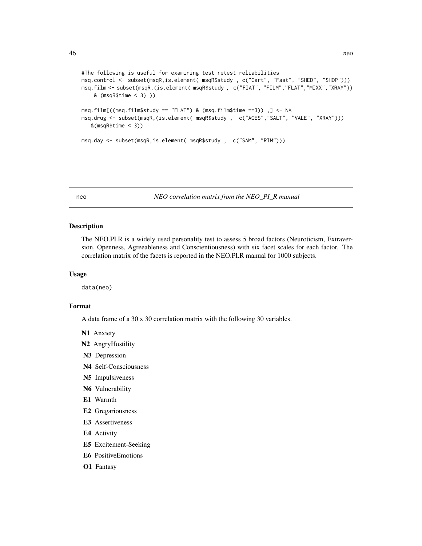```
#The following is useful for examining test retest reliabilities
msq.control <- subset(msqR,is.element( msqR$study , c("Cart", "Fast", "SHED", "SHOP")))
msq.film <- subset(msqR,(is.element( msqR$study , c("FIAT", "FILM","FLAT","MIXX","XRAY"))
    & (msqR$time < 3) ))
msq.film[((msq.film$study == "FLAT") & (msq.film$time ==3)) ,] <- NA
msq.drug <- subset(msqR,(is.element( msqR$study , c("AGES","SALT", "VALE", "XRAY")))
   &(msqR$time < 3))
msq.day <- subset(msqR,is.element( msqR$study , c("SAM", "RIM")))
```
<span id="page-45-1"></span>neo *NEO correlation matrix from the NEO\_PI\_R manual*

#### Description

The NEO.PI.R is a widely used personality test to assess 5 broad factors (Neuroticism, Extraversion, Openness, Agreeableness and Conscientiousness) with six facet scales for each factor. The correlation matrix of the facets is reported in the NEO.PI.R manual for 1000 subjects.

#### Usage

data(neo)

### Format

A data frame of a 30 x 30 correlation matrix with the following 30 variables.

- N1 Anxiety
- N2 AngryHostility
- N3 Depression
- N4 Self-Consciousness
- N5 Impulsiveness
- N6 Vulnerability
- E1 Warmth
- E2 Gregariousness
- E3 Assertiveness
- E4 Activity
- E5 Excitement-Seeking
- E6 PositiveEmotions
- O1 Fantasy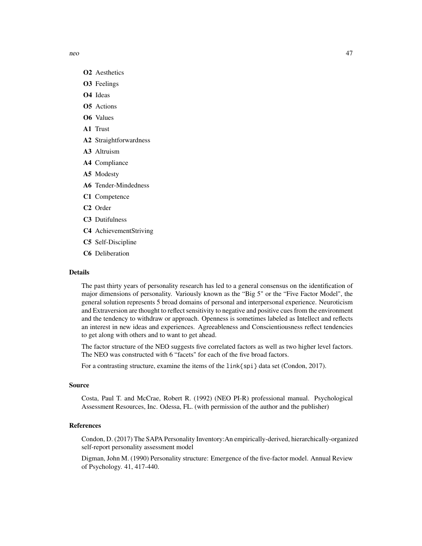neo 47

- O2 Aesthetics
- O3 Feelings
- O4 Ideas
- O5 Actions
- O6 Values
- A1 Trust
- A2 Straightforwardness
- A3 Altruism
- A4 Compliance
- A5 Modesty
- A6 Tender-Mindedness
- C1 Competence
- C2 Order
- C3 Dutifulness
- C4 AchievementStriving
- C5 Self-Discipline
- C6 Deliberation

#### Details

The past thirty years of personality research has led to a general consensus on the identification of major dimensions of personality. Variously known as the "Big 5" or the "Five Factor Model", the general solution represents 5 broad domains of personal and interpersonal experience. Neuroticism and Extraversion are thought to reflect sensitivity to negative and positive cues from the environment and the tendency to withdraw or approach. Openness is sometimes labeled as Intellect and reflects an interest in new ideas and experiences. Agreeableness and Conscientiousness reflect tendencies to get along with others and to want to get ahead.

The factor structure of the NEO suggests five correlated factors as well as two higher level factors. The NEO was constructed with 6 "facets" for each of the five broad factors.

For a contrasting structure, examine the items of the link{spi} data set (Condon, 2017).

#### Source

Costa, Paul T. and McCrae, Robert R. (1992) (NEO PI-R) professional manual. Psychological Assessment Resources, Inc. Odessa, FL. (with permission of the author and the publisher)

#### References

Condon, D. (2017) The SAPA Personality Inventory:An empirically-derived, hierarchically-organized self-report personality assessment model

Digman, John M. (1990) Personality structure: Emergence of the five-factor model. Annual Review of Psychology. 41, 417-440.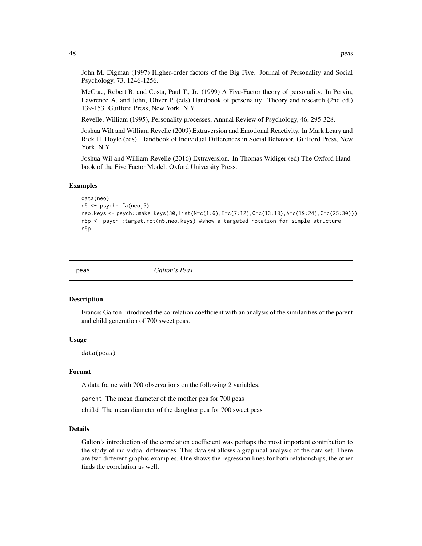John M. Digman (1997) Higher-order factors of the Big Five. Journal of Personality and Social Psychology, 73, 1246-1256.

McCrae, Robert R. and Costa, Paul T., Jr. (1999) A Five-Factor theory of personality. In Pervin, Lawrence A. and John, Oliver P. (eds) Handbook of personality: Theory and research (2nd ed.) 139-153. Guilford Press, New York. N.Y.

Revelle, William (1995), Personality processes, Annual Review of Psychology, 46, 295-328.

Joshua Wilt and William Revelle (2009) Extraversion and Emotional Reactivity. In Mark Leary and Rick H. Hoyle (eds). Handbook of Individual Differences in Social Behavior. Guilford Press, New York, N.Y.

Joshua Wil and William Revelle (2016) Extraversion. In Thomas Widiger (ed) The Oxford Handbook of the Five Factor Model. Oxford University Press.

#### Examples

```
data(neo)
n5 <- psych::fa(neo,5)
neo.keys <- psych::make.keys(30,list(N=c(1:6),E=c(7:12),O=c(13:18),A=c(19:24),C=c(25:30)))
n5p <- psych::target.rot(n5,neo.keys) #show a targeted rotation for simple structure
n5p
```
<span id="page-47-1"></span>peas *Galton's Peas*

#### Description

Francis Galton introduced the correlation coefficient with an analysis of the similarities of the parent and child generation of 700 sweet peas.

#### Usage

data(peas)

### Format

A data frame with 700 observations on the following 2 variables.

parent The mean diameter of the mother pea for 700 peas

child The mean diameter of the daughter pea for 700 sweet peas

#### Details

Galton's introduction of the correlation coefficient was perhaps the most important contribution to the study of individual differences. This data set allows a graphical analysis of the data set. There are two different graphic examples. One shows the regression lines for both relationships, the other finds the correlation as well.

<span id="page-47-0"></span>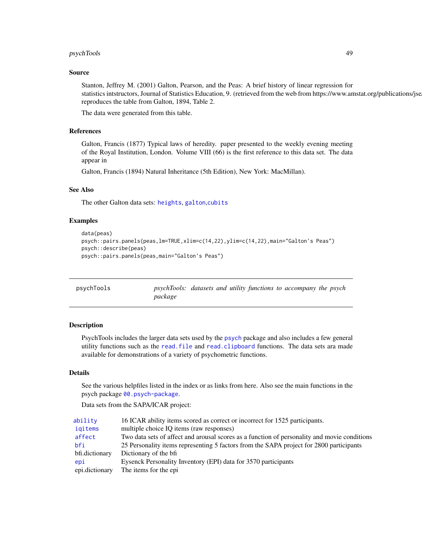### <span id="page-48-0"></span>psychTools 49

#### Source

Stanton, Jeffrey M. (2001) Galton, Pearson, and the Peas: A brief history of linear regression for statistics intstructors, Journal of Statistics Education, 9. (retrieved from the web from https://www.amstat.org/publications/jse reproduces the table from Galton, 1894, Table 2.

The data were generated from this table.

### References

Galton, Francis (1877) Typical laws of heredity. paper presented to the weekly evening meeting of the Royal Institution, London. Volume VIII (66) is the first reference to this data set. The data appear in

Galton, Francis (1894) Natural Inheritance (5th Edition), New York: MacMillan).

### See Also

The other Galton data sets: [heights](#page-24-1), [galton](#page-23-1),[cubits](#page-12-1)

#### Examples

```
data(peas)
psych::pairs.panels(peas,lm=TRUE,xlim=c(14,22),ylim=c(14,22),main="Galton's Peas")
psych::describe(peas)
psych::pairs.panels(peas,main="Galton's Peas")
```

| psychTools | psychTools: datasets and utility functions to accompany the psych |  |  |  |  |
|------------|-------------------------------------------------------------------|--|--|--|--|
|            | package                                                           |  |  |  |  |

### Description

PsychTools includes the larger data sets used by the [psych](#page-0-0) package and also includes a few general utility functions such as the [read.file](#page-50-1) and [read.clipboard](#page-50-2) functions. The data sets ara made available for demonstrations of a variety of psychometric functions.

#### Details

See the various helpfiles listed in the index or as links from here. Also see the main functions in the psych package [00.psych-package](#page-0-0).

Data sets from the SAPA/ICAR project:

| ability        | 16 ICAR ability items scored as correct or incorrect for 1525 participants.                  |
|----------------|----------------------------------------------------------------------------------------------|
| igitems        | multiple choice IO items (raw responses)                                                     |
| affect         | Two data sets of affect and arousal scores as a function of personality and movie conditions |
| bfi            | 25 Personality items representing 5 factors from the SAPA project for 2800 participants      |
| bfi.dictionary | Dictionary of the bfi                                                                        |
| epi            | Eysenck Personality Inventory (EPI) data for 3570 participants                               |
| epi.dictionary | The items for the epi                                                                        |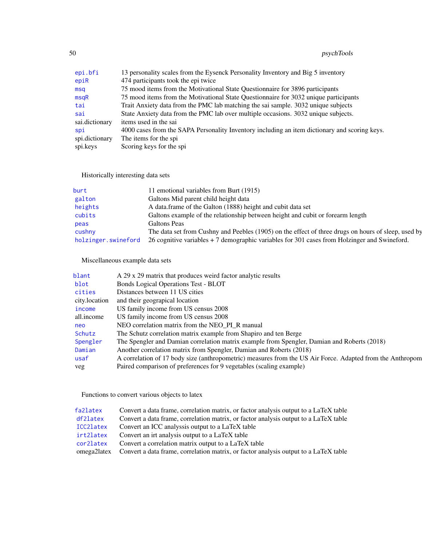<span id="page-49-0"></span>50 psychTools

| epi.bfi        | 13 personality scales from the Eysenck Personality Inventory and Big 5 inventory              |
|----------------|-----------------------------------------------------------------------------------------------|
| epiR           | 474 participants took the epi twice                                                           |
| msq            | 75 mood items from the Motivational State Questionnaire for 3896 participants                 |
| msqR           | 75 mood items from the Motivational State Questionnaire for 3032 unique participants          |
| tai            | Trait Anxiety data from the PMC lab matching the sai sample. 3032 unique subjects             |
| sai            | State Anxiety data from the PMC lab over multiple occasions. 3032 unique subjects.            |
| sai.dictionary | items used in the sai                                                                         |
| spi            | 4000 cases from the SAPA Personality Inventory including an item dictionary and scoring keys. |
| spi.dictionary | The items for the spi                                                                         |
| spi.keys       | Scoring keys for the spi                                                                      |

Historically interesting data sets

| burt                | 11 emotional variables from Burt (1915)                                                             |
|---------------------|-----------------------------------------------------------------------------------------------------|
| galton              | Galtons Mid parent child height data                                                                |
| heights             | A data.frame of the Galton (1888) height and cubit data set                                         |
| cubits              | Galtons example of the relationship between height and cubit or forearm length                      |
| peas                | Galtons Peas                                                                                        |
| cushny              | The data set from Cushny and Peebles (1905) on the effect of three drugs on hours of sleep, used by |
| holzinger.swineford | 26 cognitive variables $+7$ demographic variables for 301 cases from Holzinger and Swineford.       |
|                     |                                                                                                     |

Miscellaneous example data sets

| blant         | A 29 x 29 matrix that produces weird factor analytic results                                              |
|---------------|-----------------------------------------------------------------------------------------------------------|
| blot          | Bonds Logical Operations Test - BLOT                                                                      |
| cities        | Distances between 11 US cities                                                                            |
| city.location | and their geograpical location                                                                            |
| income        | US family income from US census 2008                                                                      |
| all.income    | US family income from US census 2008                                                                      |
| neo           | NEO correlation matrix from the NEO_PI_R manual                                                           |
| Schutz        | The Schutz correlation matrix example from Shapiro and ten Berge                                          |
| Spengler      | The Spengler and Damian correlation matrix example from Spengler, Damian and Roberts (2018)               |
| Damian        | Another correlation matrix from Spengler, Damian and Roberts (2018)                                       |
| usaf          | A correlation of 17 body size (anthropometric) measures from the US Air Force. Adapted from the Anthropom |
| veg           | Paired comparison of preferences for 9 vegetables (scaling example)                                       |
|               |                                                                                                           |

Functions to convert various objects to latex

| fa2latex  | Convert a data frame, correlation matrix, or factor analysis output to a LaTeX table             |
|-----------|--------------------------------------------------------------------------------------------------|
| df2latex  | Convert a data frame, correlation matrix, or factor analysis output to a LaTeX table             |
| ICC2latex | Convert an ICC analyssis output to a LaTeX table                                                 |
| irt2latex | Convert an irt analysis output to a LaTeX table                                                  |
| cor2latex | Convert a correlation matrix output to a LaTeX table                                             |
|           | omega2latex Convert a data frame, correlation matrix, or factor analysis output to a LaTeX table |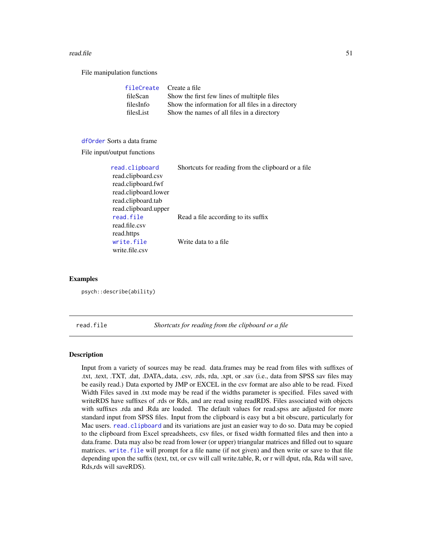#### <span id="page-50-0"></span>read.file 51

File manipulation functions

| fileCreate Create a file                          |
|---------------------------------------------------|
| Show the first few lines of multitple files       |
| Show the information for all files in a directory |
| Show the names of all files in a directory        |
|                                                   |

### [dfOrder](#page-17-1) Sorts a data frame

File input/output functions

| read.clipboard       | Shortcuts for reading from the clipboard or a file |
|----------------------|----------------------------------------------------|
| read.clipboard.csv   |                                                    |
| read.clipboard.fwf   |                                                    |
| read.clipboard.lower |                                                    |
| read.clipboard.tab   |                                                    |
| read.clipboard.upper |                                                    |
| read.file            | Read a file according to its suffix                |
| read file csv        |                                                    |
| read.https           |                                                    |
| write.file           | Write data to a file                               |
| write.file.csv       |                                                    |

#### Examples

psych::describe(ability)

<span id="page-50-1"></span>read.file *Shortcuts for reading from the clipboard or a file*

#### <span id="page-50-2"></span>Description

Input from a variety of sources may be read. data.frames may be read from files with suffixes of .txt, .text, .TXT, .dat, .DATA,.data, .csv, .rds, rda, .xpt, or .sav (i.e., data from SPSS sav files may be easily read.) Data exported by JMP or EXCEL in the csv format are also able to be read. Fixed Width Files saved in .txt mode may be read if the widths parameter is specified. Files saved with writeRDS have suffixes of .rds or Rds, and are read using readRDS. Files associated with objects with suffixes .rda and .Rda are loaded. The default values for read.spss are adjusted for more standard input from SPSS files. Input from the clipboard is easy but a bit obscure, particularly for Mac users. [read.clipboard](#page-50-2) and its variations are just an easier way to do so. Data may be copied to the clipboard from Excel spreadsheets, csv files, or fixed width formatted files and then into a data.frame. Data may also be read from lower (or upper) triangular matrices and filled out to square matrices. [write.file](#page-50-2) will prompt for a file name (if not given) and then write or save to that file depending upon the suffix (text, txt, or csv will call write.table, R, or r will dput, rda, Rda will save, Rds,rds will saveRDS).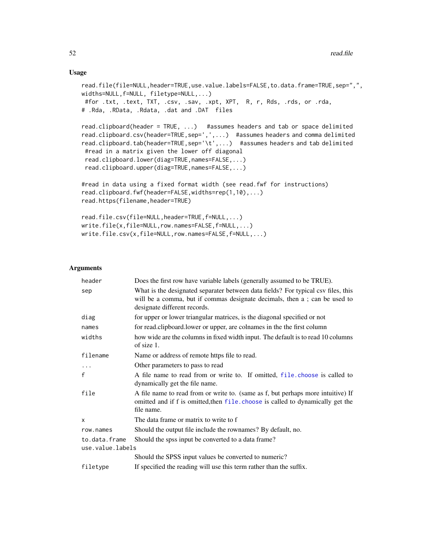#### Usage

```
read.file(file=NULL,header=TRUE,use.value.labels=FALSE,to.data.frame=TRUE,sep=",",
widths=NULL,f=NULL, filetype=NULL,...)
#for .txt, .text, TXT, .csv, .sav, .xpt, XPT, R, r, Rds, .rds, or .rda,
# .Rda, .RData, .Rdata, .dat and .DAT files
read.clipboard(header = TRUE, ...) #assumes headers and tab or space delimited
read.clipboard.csv(header=TRUE,sep=',',...) #assumes headers and comma delimited
read.clipboard.tab(header=TRUE,sep='\t',...) #assumes headers and tab delimited
#read in a matrix given the lower off diagonal
read.clipboard.lower(diag=TRUE,names=FALSE,...)
read.clipboard.upper(diag=TRUE,names=FALSE,...)
#read in data using a fixed format width (see read.fwf for instructions)
read.clipboard.fwf(header=FALSE,widths=rep(1,10),...)
read.https(filename,header=TRUE)
read.file.csv(file=NULL,header=TRUE,f=NULL,...)
write.file(x,file=NULL,row.names=FALSE,f=NULL,...)
write.file.csv(x,file=NULL,row.names=FALSE,f=NULL,...)
```
#### Arguments

| header                            | Does the first row have variable labels (generally assumed to be TRUE).                                                                                                                         |
|-----------------------------------|-------------------------------------------------------------------------------------------------------------------------------------------------------------------------------------------------|
| sep                               | What is the designated separater between data fields? For typical csv files, this<br>will be a comma, but if commas designate decimals, then a ; can be used to<br>designate different records. |
| diag                              | for upper or lower triangular matrices, is the diagonal specified or not                                                                                                                        |
| names                             | for read.clipboard.lower or upper, are colnames in the the first column                                                                                                                         |
| widths                            | how wide are the columns in fixed width input. The default is to read 10 columns<br>of size 1.                                                                                                  |
| filename                          | Name or address of remote https file to read.                                                                                                                                                   |
| .                                 | Other parameters to pass to read                                                                                                                                                                |
| f                                 | A file name to read from or write to. If omitted, file choose is called to<br>dynamically get the file name.                                                                                    |
| file                              | A file name to read from or write to. (same as f, but perhaps more intuitive) If<br>omitted and if f is omitted, then file. choose is called to dynamically get the<br>file name.               |
| X                                 | The data frame or matrix to write to f                                                                                                                                                          |
| row.names                         | Should the output file include the rownames? By default, no.                                                                                                                                    |
| to.data.frame<br>use.value.labels | Should the spss input be converted to a data frame?                                                                                                                                             |
|                                   | Should the SPSS input values be converted to numeric?                                                                                                                                           |
| filetype                          | If specified the reading will use this term rather than the suffix.                                                                                                                             |

<span id="page-51-0"></span>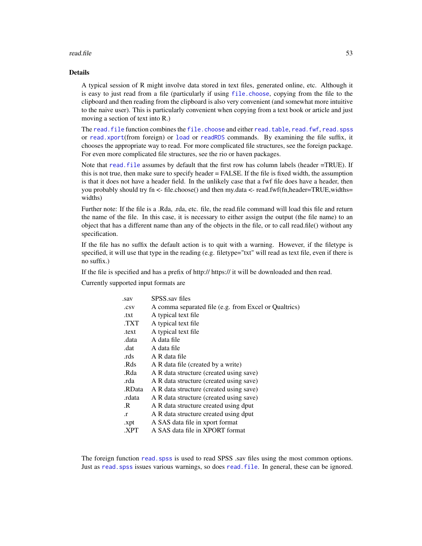#### <span id="page-52-0"></span>read.file 53

### Details

A typical session of R might involve data stored in text files, generated online, etc. Although it is easy to just read from a file (particularly if using [file.choose](#page-0-0), copying from the file to the clipboard and then reading from the clipboard is also very convenient (and somewhat more intuitive to the naive user). This is particularly convenient when copying from a text book or article and just moving a section of text into R.)

The read. file function combines the [file.choose](#page-0-0) and either [read.table](#page-0-0), [read.fwf](#page-0-0), [read.spss](#page-0-0) or [read.xport](#page-0-0)(from foreign) or [load](#page-0-0) or [readRDS](#page-0-0) commands. By examining the file suffix, it chooses the appropriate way to read. For more complicated file structures, see the foreign package. For even more complicated file structures, see the rio or haven packages.

Note that read. file assumes by default that the first row has column labels (header =TRUE). If this is not true, then make sure to specify header = FALSE. If the file is fixed width, the assumption is that it does not have a header field. In the unlikely case that a fwf file does have a header, then you probably should try fn <- file.choose() and then my.data <- read.fwf(fn,header=TRUE,widths= widths)

Further note: If the file is a .Rda, .rda, etc. file, the read.file command will load this file and return the name of the file. In this case, it is necessary to either assign the output (the file name) to an object that has a different name than any of the objects in the file, or to call read.file() without any specification.

If the file has no suffix the default action is to quit with a warning. However, if the filetype is specified, it will use that type in the reading (e.g. filetype="txt" will read as text file, even if there is no suffix.)

If the file is specified and has a prefix of http:// https:// it will be downloaded and then read.

Currently supported input formats are

| .sav      | SPSS.sav files                                        |
|-----------|-------------------------------------------------------|
| .csv      | A comma separated file (e.g. from Excel or Qualtrics) |
| .txt      | A typical text file                                   |
| TXT.      | A typical text file                                   |
| .text     | A typical text file                                   |
| .data     | A data file                                           |
| .dat      | A data file                                           |
| .rds      | A R data file                                         |
| .Rds      | A R data file (created by a write)                    |
| .Rda      | A R data structure (created using save)               |
| .rda      | A R data structure (created using save)               |
| .RData    | A R data structure (created using save)               |
| rdata.    | A R data structure (created using save)               |
| .R        | A R data structure created using dput                 |
| $\cdot$ r | A R data structure created using dput                 |
| .xpt      | A SAS data file in xport format                       |
| .XPT      | A SAS data file in XPORT format                       |
|           |                                                       |

The foreign function read. spss is used to read SPSS .sav files using the most common options. Just as read. spss issues various warnings, so does read. file. In general, these can be ignored.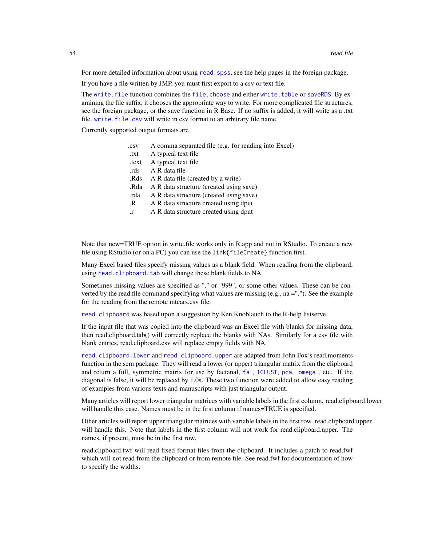For more detailed information about using read. spss, see the help pages in the foreign package.

If you have a file written by JMP, you must first export to a csv or text file.

The [write.file](#page-50-2) function combines the [file.choose](#page-0-0) and either [write.table](#page-0-0) or [saveRDS](#page-0-0). By examining the file suffix, it chooses the appropriate way to write. For more complicated file structures, see the foreign package, or the save function in R Base. If no suffix is added, it will write as a .txt file. write. file.csv will write in csv format to an arbitrary file name.

Currently supported output formats are

| .csv      | A comma separated file (e.g. for reading into Excel) |
|-----------|------------------------------------------------------|
| .txt      | A typical text file                                  |
| .text     | A typical text file                                  |
| .rds      | A R data file                                        |
| .Rds      | A R data file (created by a write)                   |
| .Rda      | A R data structure (created using save)              |
| .rda      | A R data structure (created using save)              |
| .R        | A R data structure created using dput                |
| $\cdot$ r | A R data structure created using dput                |
|           |                                                      |

Note that new=TRUE option in write.file works only in R.app and not in RStudio. To create a new file using RStudio (or on a PC) you can use the link{fileCreate} function first.

Many Excel based files specify missing values as a blank field. When reading from the clipboard, using [read.clipboard.tab](#page-50-2) will change these blank fields to NA.

Sometimes missing values are specified as "." or "999", or some other values. These can be converted by the read.file command specifying what values are missing (e.g., na ="."). See the example for the reading from the remote mtcars.csv file.

[read.clipboard](#page-50-2) was based upon a suggestion by Ken Knoblauch to the R-help listserve.

If the input file that was copied into the clipboard was an Excel file with blanks for missing data, then read.clipboard.tab() will correctly replace the blanks with NAs. Similarly for a csv file with blank entries, read.clipboard.csv will replace empty fields with NA.

[read.clipboard.lower](#page-50-2) and [read.clipboard.upper](#page-50-2) are adapted from John Fox's read.moments function in the sem package. They will read a lower (or upper) triangular matrix from the clipboard and return a full, symmetric matrix for use by factanal, [fa](#page-0-0) , [ICLUST](#page-0-0), [pca](#page-0-0). [omega](#page-0-0) , etc. If the diagonal is false, it will be replaced by 1.0s. These two function were added to allow easy reading of examples from various texts and manuscripts with just triangular output.

Many articles will report lower triangular matrices with variable labels in the first column. read.clipboard.lower will handle this case. Names must be in the first column if names=TRUE is specified.

Other articles will report upper triangular matrices with variable labels in the first row. read.clipboard.upper will handle this. Note that labels in the first column will not work for read.clipboard.upper. The names, if present, must be in the first row.

read.clipboard.fwf will read fixed format files from the clipboard. It includes a patch to read.fwf which will not read from the clipboard or from remote file. See read.fwf for documentation of how to specify the widths.

<span id="page-53-0"></span>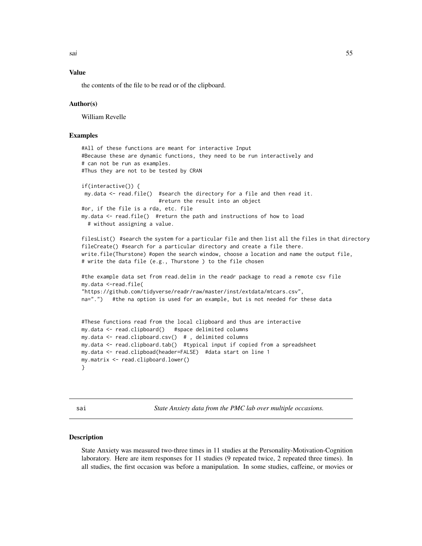<span id="page-54-0"></span>sai 55

### Value

the contents of the file to be read or of the clipboard.

### Author(s)

William Revelle

### Examples

```
#All of these functions are meant for interactive Input
#Because these are dynamic functions, they need to be run interactively and
# can not be run as examples.
#Thus they are not to be tested by CRAN
if(interactive()) {
my.data <- read.file() #search the directory for a file and then read it.
                         #return the result into an object
#or, if the file is a rda, etc. file
my.data <- read.file() #return the path and instructions of how to load
 # without assigning a value.
filesList() #search the system for a particular file and then list all the files in that directory
fileCreate() #search for a particular directory and create a file there.
write.file(Thurstone) #open the search window, choose a location and name the output file,
# write the data file (e.g., Thurstone ) to the file chosen
#the example data set from read.delim in the readr package to read a remote csv file
my.data <-read.file(
"https://github.com/tidyverse/readr/raw/master/inst/extdata/mtcars.csv",
na=".") #the na option is used for an example, but is not needed for these data
#These functions read from the local clipboard and thus are interactive
my.data <- read.clipboard() #space delimited columns
my.data <- read.clipboard.csv() # , delimited columns
my.data <- read.clipboard.tab() #typical input if copied from a spreadsheet
my.data <- read.clipboad(header=FALSE) #data start on line 1
my.matrix <- read.clipboard.lower()
}
```
<span id="page-54-1"></span>sai *State Anxiety data from the PMC lab over multiple occasions.*

#### <span id="page-54-2"></span>Description

State Anxiety was measured two-three times in 11 studies at the Personality-Motivation-Cognition laboratory. Here are item responses for 11 studies (9 repeated twice, 2 repeated three times). In all studies, the first occasion was before a manipulation. In some studies, caffeine, or movies or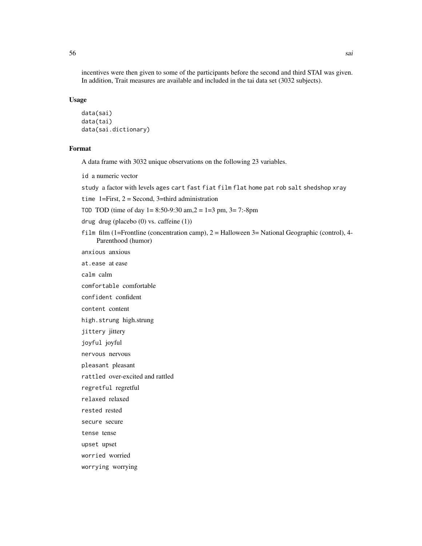incentives were then given to some of the participants before the second and third STAI was given. In addition, Trait measures are available and included in the tai data set (3032 subjects).

#### Usage

```
data(sai)
data(tai)
data(sai.dictionary)
```
### Format

A data frame with 3032 unique observations on the following 23 variables.

id a numeric vector

study a factor with levels ages cart fast fiat film flat home pat rob salt shedshop xray

time 1=First,  $2 =$  Second, 3=third administration

TOD TOD (time of day  $1 = 8:50-9:30$  am,  $2 = 1=3$  pm,  $3 = 7:-8$ pm

drug drug (placebo (0) vs. caffeine (1))

film film (1=Frontline (concentration camp), 2 = Halloween 3= National Geographic (control), 4- Parenthood (humor)

anxious anxious

at.ease at ease

calm calm

comfortable comfortable

confident confident

content content

high.strung high.strung

jittery jittery

joyful joyful

nervous nervous

pleasant pleasant

rattled over-excited and rattled

regretful regretful

relaxed relaxed

rested rested

secure secure

tense tense

upset upset

worried worried

worrying worrying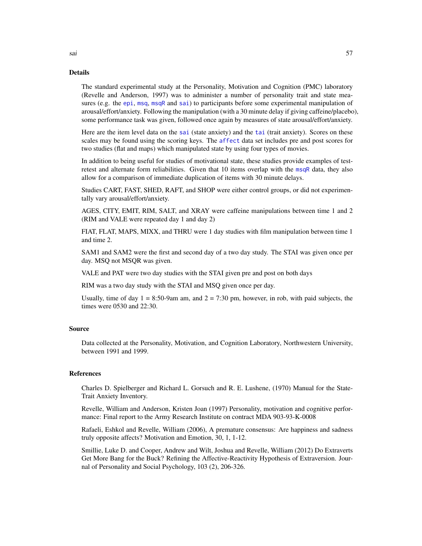#### Details

The standard experimental study at the Personality, Motivation and Cognition (PMC) laboratory (Revelle and Anderson, 1997) was to administer a number of personality trait and state measures (e.g. the [epi](#page-18-2), [msq](#page-31-1), [msqR](#page-37-1) and [sai](#page-54-1)) to participants before some experimental manipulation of arousal/effort/anxiety. Following the manipulation (with a 30 minute delay if giving caffeine/placebo), some performance task was given, followed once again by measures of state arousal/effort/anxiety.

Here are the item level data on the [sai](#page-54-1) (state anxiety) and the [tai](#page-54-2) (trait anxiety). Scores on these scales may be found using the scoring keys. The [affect](#page-3-1) data set includes pre and post scores for two studies (flat and maps) which manipulated state by using four types of movies.

In addition to being useful for studies of motivational state, these studies provide examples of testretest and alternate form reliabilities. Given that 10 items overlap with the [msqR](#page-37-1) data, they also allow for a comparison of immediate duplication of items with 30 minute delays.

Studies CART, FAST, SHED, RAFT, and SHOP were either control groups, or did not experimentally vary arousal/effort/anxiety.

AGES, CITY, EMIT, RIM, SALT, and XRAY were caffeine manipulations between time 1 and 2 (RIM and VALE were repeated day 1 and day 2)

FIAT, FLAT, MAPS, MIXX, and THRU were 1 day studies with film manipulation between time 1 and time 2.

SAM1 and SAM2 were the first and second day of a two day study. The STAI was given once per day. MSQ not MSQR was given.

VALE and PAT were two day studies with the STAI given pre and post on both days

RIM was a two day study with the STAI and MSQ given once per day.

Usually, time of day  $1 = 8:50$ -9am am, and  $2 = 7:30$  pm, however, in rob, with paid subjects, the times were 0530 and 22:30.

#### Source

Data collected at the Personality, Motivation, and Cognition Laboratory, Northwestern University, between 1991 and 1999.

### References

Charles D. Spielberger and Richard L. Gorsuch and R. E. Lushene, (1970) Manual for the State-Trait Anxiety Inventory.

Revelle, William and Anderson, Kristen Joan (1997) Personality, motivation and cognitive performance: Final report to the Army Research Institute on contract MDA 903-93-K-0008

Rafaeli, Eshkol and Revelle, William (2006), A premature consensus: Are happiness and sadness truly opposite affects? Motivation and Emotion, 30, 1, 1-12.

Smillie, Luke D. and Cooper, Andrew and Wilt, Joshua and Revelle, William (2012) Do Extraverts Get More Bang for the Buck? Refining the Affective-Reactivity Hypothesis of Extraversion. Journal of Personality and Social Psychology, 103 (2), 206-326.

<span id="page-56-0"></span>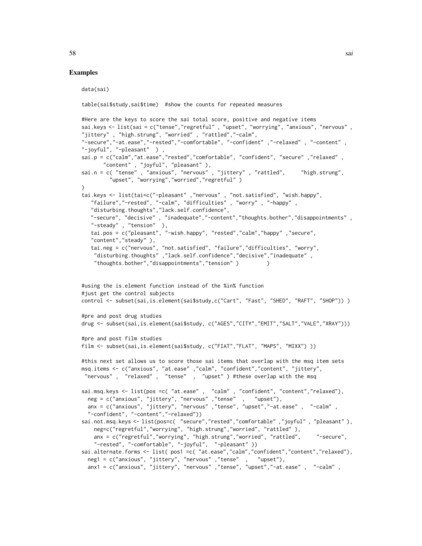#### Examples

```
data(sai)
table(sai$study,sai$time) #show the counts for repeated measures
#Here are the keys to score the sai total score, positive and negative items
sai.keys <- list(sai = c("tense","regretful" , "upset", "worrying", "anxious", "nervous" ,
"jittery" , "high.strung", "worried" , "rattled","-calm",
"-secure","-at.ease","-rested","-comfortable", "-confident" ,"-relaxed" , "-content" ,
"-joyful", "-pleasant" ) ,
sai.p = c("calm","at.ease","rested","comfortable", "confident", "secure" ,"relaxed" ,
      "content" , "joyful", "pleasant" ),
sai.n = c( "tense" , "anxious", "nervous" , "jittery" , "rattled", "high.strung",
        "upset", "worrying","worried","regretful" )
\lambdatai.keys <- list(tai=c("-pleasant" ,"nervous" , "not.satisfied", "wish.happy",
   "failure","-rested", "-calm", "difficulties" , "worry" , "-happy" ,
   "disturbing.thoughts","lack.self.confidence",
  "-secure", "decisive" , "inadequate","-content","thoughts.bother","disappointments" ,
  "-steady" , "tension" ),
   tai.pos = c("pleasant", "-wish.happy", "rested","calm","happy" ,"secure",
   "content","steady" ),
   tai.neg = c("nervous", "not.satisfied", "failure","difficulties", "worry",
   "disturbing.thoughts" ,"lack.self.confidence","decisive","inadequate" ,
    "thoughts.bother","disappointments","tension" ) )
#using the is.element function instead of the %in% function
#just get the control subjects
control <- subset(sai,is.element(sai$study,c("Cart", "Fast", "SHED", "RAFT", "SHOP")) )
#pre and post drug studies
drug <- subset(sai,is.element(sai$study, c("AGES","CITY","EMIT","SALT","VALE","XRAY")))
#pre and post film studies
film <- subset(sai,is.element(sai$study, c("FIAT","FLAT", "MAPS", "MIXX") ))
#this next set allows us to score those sai items that overlap with the msq item sets
msq.items <- c("anxious", "at.ease" ,"calm", "confident","content", "jittery",
"nervous" , "relaxed" , "tense" , "upset" ) #these overlap with the msq
sai.msq.keys <- list(pos =c( "at.ease" , "calm" , "confident", "content","relaxed"),
  neg = c("anxious", "jittery", "nervous" ,"tense" , "upset"),
  anx = c("anxious", "jittery", "nervous" ,"tense", "upset","-at.ease" , "-calm" ,
  "-confident", "-content","-relaxed"))
sai.not.msq.keys <- list(pos=c( "secure","rested","comfortable" ,"joyful" , "pleasant" ),
    neg=c("regretful","worrying", "high.strung","worried", "rattled" ),
    anx = c("regretful","worrying", "high.strung","worried", "rattled", "-secure",
    "-rested", "-comfortable", "-joyful", "-pleasant" ))
sai.alternate.forms <- list( pos1 =c( "at.ease","calm","confident","content","relaxed"),
 neg1 = c("anxious", "jittery", "nervous" ,"tense" , "upset"),
 anx1 = c("anxious", "jittery", "nervous" ,"tense", "upset","-at.ease" , "-calm" ,
```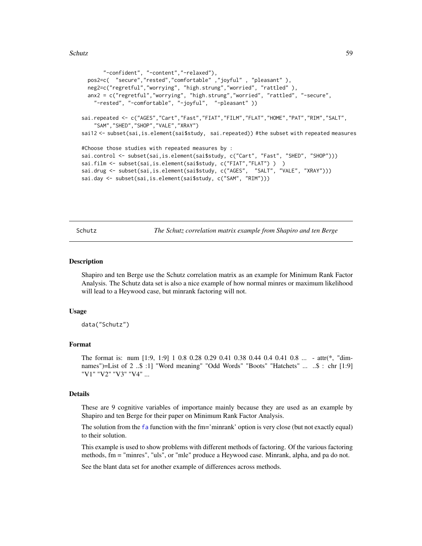#### <span id="page-58-0"></span>Schutz 59

```
"-confident", "-content","-relaxed"),
 pos2=c( "secure","rested","comfortable" ,"joyful" , "pleasant" ),
 neg2=c("regretful","worrying", "high.strung","worried", "rattled" ),
 anx2 = c("regretful","worrying", "high.strung","worried", "rattled", "-secure",
    "-rested", "-comfortable", "-joyful", "-pleasant" ))
sai.repeated <- c("AGES","Cart","Fast","FIAT","FILM","FLAT","HOME","PAT","RIM","SALT",
    "SAM","SHED","SHOP","VALE","XRAY")
sai12 <- subset(sai,is.element(sai$study, sai.repeated)) #the subset with repeated measures
#Choose those studies with repeated measures by :
sai.control <- subset(sai,is.element(sai$study, c("Cart", "Fast", "SHED", "SHOP")))
sai.film <- subset(sai,is.element(sai$study, c("FIAT","FLAT") ) )
sai.drug <- subset(sai,is.element(sai$study, c("AGES", "SALT", "VALE", "XRAY")))
sai.day <- subset(sai,is.element(sai$study, c("SAM", "RIM")))
```
<span id="page-58-1"></span>

Schutz *The Schutz correlation matrix example from Shapiro and ten Berge*

#### Description

Shapiro and ten Berge use the Schutz correlation matrix as an example for Minimum Rank Factor Analysis. The Schutz data set is also a nice example of how normal minres or maximum likelihood will lead to a Heywood case, but minrank factoring will not.

#### Usage

data("Schutz")

#### Format

The format is: num [1:9, 1:9] 1 0.8 0.28 0.29 0.41 0.38 0.44 0.4 0.41 0.8 ... - attr(\*, "dimnames")=List of 2 ..\$ :1] "Word meaning" "Odd Words" "Boots" "Hatchets" ... ..\$ : chr [1:9] "V1" "V2" "V3" "V4" ...

#### Details

These are 9 cognitive variables of importance mainly because they are used as an example by Shapiro and ten Berge for their paper on Minimum Rank Factor Analysis.

The solution from the [fa](#page-0-0) function with the fm='minrank' option is very close (but not exactly equal) to their solution.

This example is used to show problems with different methods of factoring. Of the various factoring methods, fm = "minres", "uls", or "mle" produce a Heywood case. Minrank, alpha, and pa do not.

See the blant data set for another example of differences across methods.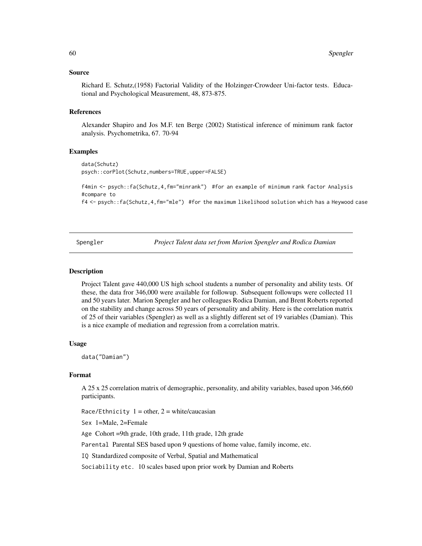#### <span id="page-59-0"></span>Source

Richard E. Schutz,(1958) Factorial Validity of the Holzinger-Crowdeer Uni-factor tests. Educational and Psychological Measurement, 48, 873-875.

#### References

Alexander Shapiro and Jos M.F. ten Berge (2002) Statistical inference of minimum rank factor analysis. Psychometrika, 67. 70-94

### Examples

```
data(Schutz)
psych::corPlot(Schutz,numbers=TRUE,upper=FALSE)
```

```
f4min <- psych::fa(Schutz,4,fm="minrank") #for an example of minimum rank factor Analysis
#compare to
```
f4 <- psych::fa(Schutz,4,fm="mle") #for the maximum likelihood solution which has a Heywood case

<span id="page-59-1"></span>Spengler *Project Talent data set from Marion Spengler and Rodica Damian*

#### <span id="page-59-2"></span>**Description**

Project Talent gave 440,000 US high school students a number of personality and ability tests. Of these, the data fror 346,000 were available for followup. Subsequent followups were collected 11 and 50 years later. Marion Spengler and her colleagues Rodica Damian, and Brent Roberts reported on the stability and change across 50 years of personality and ability. Here is the correlation matrix of 25 of their variables (Spengler) as well as a slightly different set of 19 variables (Damian). This is a nice example of mediation and regression from a correlation matrix.

#### Usage

data("Damian")

### Format

A 25 x 25 correlation matrix of demographic, personality, and ability variables, based upon 346,660 participants.

Race/Ethnicity  $1 =$  other,  $2 =$  white/caucasian

Sex 1=Male, 2=Female

Age Cohort =9th grade, 10th grade, 11th grade, 12th grade

Parental Parental SES based upon 9 questions of home value, family income, etc.

IQ Standardized composite of Verbal, Spatial and Mathematical

Sociability etc. 10 scales based upon prior work by Damian and Roberts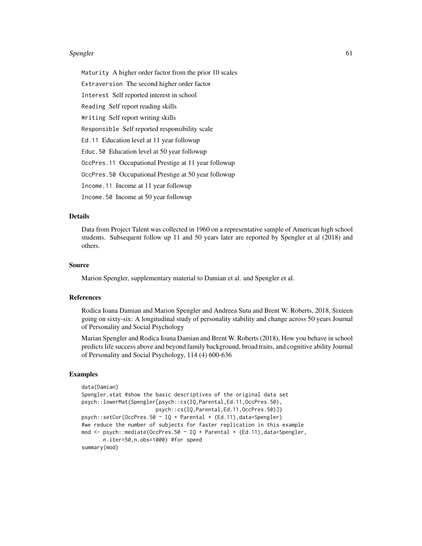#### Spengler 61

Maturity A higher order factor from the prior 10 scales Extraversion The second higher order factor Interest Self reported interest in school Reading Self report reading skills Writing Self report writing skills Responsible Self reported responsibility scale Ed.11 Education level at 11 year followup Educ.50 Education level at 50 year followup OccPres.11 Occupational Prestige at 11 year followup OccPres.50 Occupational Prestige at 50 year followup Income.11 Income at 11 year followup Income.50 Income at 50 year followup

#### Details

Data from Project Talent was collected in 1960 on a representative sample of American high school students. Subsequent follow up 11 and 50 years later are reported by Spengler et al (2018) and others.

#### Source

Marion Spengler, supplementary material to Damian et al. and Spengler et al.

#### References

Rodica Ioana Damian and Marion Spengler and Andreea Sutu and Brent W. Roberts, 2018, Sixteen going on sixty-six: A longitudinal study of personality stability and change across 50 years Journal of Personality and Social Psychology

Marian Spengler and Rodica Ioana Damian and Brent W. Roberts (2018), How you behave in school predicts life success above and beyond family background, broad traits, and cognitive ability Journal of Personality and Social Psychology, 114 (4) 600-636

#### Examples

```
data(Damian)
Spengler.stat #show the basic descriptives of the original data set
psych::lowerMat(Spengler[psych::cs(IQ,Parental,Ed.11,OccPres.50),
                        psych::cs(IQ,Parental,Ed.11,OccPres.50)])
psych::setCor(OccPres.50 ~ IQ + Parental + (Ed.11),data=Spengler)
#we reduce the number of subjects for faster replication in this example
mod <- psych::mediate(OccPres.50 ~ IQ + Parental + (Ed.11),data=Spengler,
      n.iter=50,n.obs=1000) #for speed
summary(mod)
```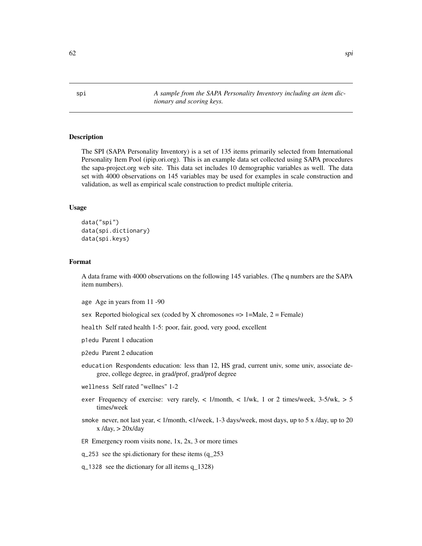Description

The SPI (SAPA Personality Inventory) is a set of 135 items primarily selected from International Personality Item Pool (ipip.ori.org). This is an example data set collected using SAPA procedures the sapa-project.org web site. This data set includes 10 demographic variables as well. The data set with 4000 observations on 145 variables may be used for examples in scale construction and validation, as well as empirical scale construction to predict multiple criteria.

*tionary and scoring keys.*

#### Usage

```
data("spi")
data(spi.dictionary)
data(spi.keys)
```
#### Format

A data frame with 4000 observations on the following 145 variables. (The q numbers are the SAPA item numbers).

age Age in years from 11 -90

sex Reported biological sex (coded by X chromosones  $\Rightarrow$  1=Male, 2 = Female)

health Self rated health 1-5: poor, fair, good, very good, excellent

p1edu Parent 1 education

p2edu Parent 2 education

education Respondents education: less than 12, HS grad, current univ, some univ, associate degree, college degree, in grad/prof, grad/prof degree

wellness Self rated "wellnes" 1-2

- exer Frequency of exercise: very rarely, < 1/month, < 1/wk, 1 or 2 times/week, 3-5/wk, > 5 times/week
- smoke never, not last year, < 1/month, <1/week, 1-3 days/week, most days, up to 5 x /day, up to 20  $x$  /day,  $> 20x$ /day

ER Emergency room visits none,  $1x$ ,  $2x$ ,  $3$  or more times

q\_253 see the spi.dictionary for these items (q\_253

q\_1328 see the dictionary for all items q\_1328)

<span id="page-61-1"></span><span id="page-61-0"></span>spi *A sample from the SAPA Personality Inventory including an item dic-*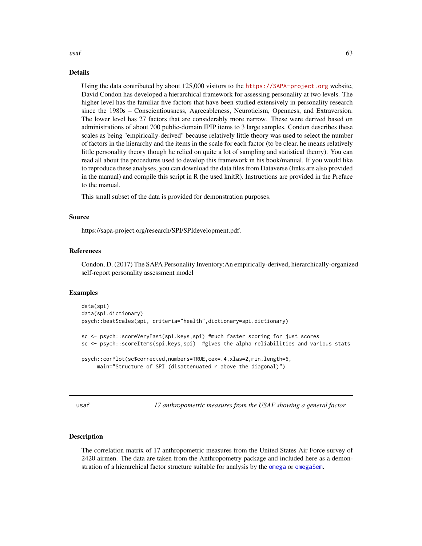#### <span id="page-62-0"></span> $\mu$ usaf 63

#### Details

Using the data contributed by about 125,000 visitors to the <https://SAPA-project.org> website, David Condon has developed a hierarchical framework for assessing personality at two levels. The higher level has the familiar five factors that have been studied extensively in personality research since the 1980s – Conscientiousness, Agreeableness, Neuroticism, Openness, and Extraversion. The lower level has 27 factors that are considerably more narrow. These were derived based on administrations of about 700 public-domain IPIP items to 3 large samples. Condon describes these scales as being "empirically-derived" because relatively little theory was used to select the number of factors in the hierarchy and the items in the scale for each factor (to be clear, he means relatively little personality theory though he relied on quite a lot of sampling and statistical theory). You can read all about the procedures used to develop this framework in his book/manual. If you would like to reproduce these analyses, you can download the data files from Dataverse (links are also provided in the manual) and compile this script in R (he used knitR). Instructions are provided in the Preface to the manual.

This small subset of the data is provided for demonstration purposes.

#### Source

https://sapa-project.org/research/SPI/SPIdevelopment.pdf.

#### References

Condon, D. (2017) The SAPA Personality Inventory:An empirically-derived, hierarchically-organized self-report personality assessment model

#### Examples

```
data(spi)
data(spi.dictionary)
psych::bestScales(spi, criteria="health",dictionary=spi.dictionary)
sc <- psych::scoreVeryFast(spi.keys,spi) #much faster scoring for just scores
sc <- psych::scoreItems(spi.keys,spi) #gives the alpha reliabilities and various stats
psych::corPlot(sc$corrected,numbers=TRUE,cex=.4,xlas=2,min.length=6,
     main="Structure of SPI (disattenuated r above the diagonal)")
```
<span id="page-62-1"></span>usaf *17 anthropometric measures from the USAF showing a general factor*

#### **Description**

The correlation matrix of 17 anthropometric measures from the United States Air Force survey of 2420 airmen. The data are taken from the Anthropometry package and included here as a demonstration of a hierarchical factor structure suitable for analysis by the [omega](#page-0-0) or [omegaSem](#page-0-0).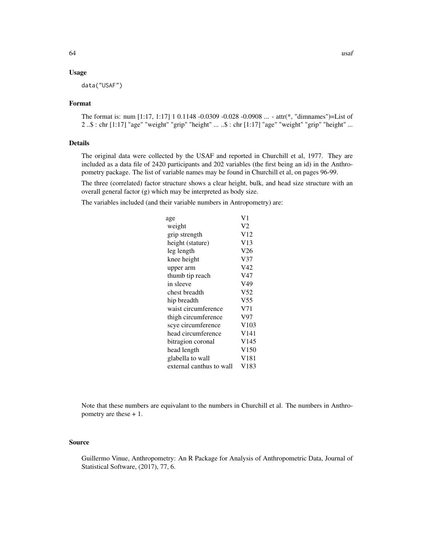### Usage

data("USAF")

#### Format

The format is: num [1:17, 1:17] 1 0.1148 -0.0309 -0.028 -0.0908 ... - attr(\*, "dimnames")=List of 2 ..\$ : chr [1:17] "age" "weight" "grip" "height" ... ..\$ : chr [1:17] "age" "weight" "grip" "height" ...

#### Details

The original data were collected by the USAF and reported in Churchill et al, 1977. They are included as a data file of 2420 participants and 202 variables (the first being an id) in the Anthropometry package. The list of variable names may be found in Churchill et al, on pages 96-99.

The three (correlated) factor structure shows a clear height, bulk, and head size structure with an overall general factor (g) which may be interpreted as body size.

The variables included (and their variable numbers in Antropometry) are:

| age                      | V1               |
|--------------------------|------------------|
| weight                   | V2               |
| grip strength            | V12              |
| height (stature)         | V13              |
| leg length               | V26              |
| knee height              | V <sub>37</sub>  |
| upper arm                | V42              |
| thumb tip reach          | V47              |
| in sleeve                | V49              |
| chest breadth            | V <sub>52</sub>  |
| hip breadth              | V <sub>55</sub>  |
| waist circumference      | V <sub>71</sub>  |
| thigh circumference      | V97              |
| scye circumference       | V103             |
| head circumference       | V <sub>141</sub> |
| bitragion coronal        | V145             |
| head length              | V <sub>150</sub> |
| glabella to wall         | V <sub>181</sub> |
| external canthus to wall | V <sub>183</sub> |
|                          |                  |

Note that these numbers are equivalant to the numbers in Churchill et al. The numbers in Anthropometry are these + 1.

#### Source

Guillermo Vinue, Anthropometry: An R Package for Analysis of Anthropometric Data, Journal of Statistical Software, (2017), 77, 6.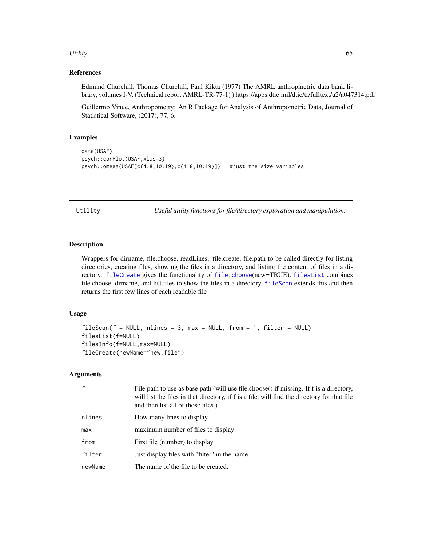#### <span id="page-64-0"></span>Utility 65

### References

Edmund Churchill, Thomas Churchill, Paul Kikta (1977) The AMRL anthropmetric data bank library, volumes I-V. (Technical report AMRL-TR-77-1) ) https://apps.dtic.mil/dtic/tr/fulltext/u2/a047314.pdf

Guillermo Vinue, Anthropometry: An R Package for Analysis of Anthropometric Data, Journal of Statistical Software, (2017), 77, 6.

#### Examples

```
data(USAF)
psych::corPlot(USAF,xlas=3)
psych::omega(USAF[c(4:8,10:19),c(4:8,10:19)]) #just the size variables
```
Utility *Useful utility functions for file/directory exploration and manipulation.*

### <span id="page-64-1"></span>Description

Wrappers for dirname, file.choose, readLines. file.create, file.path to be called directly for listing directories, creating files, showing the files in a directory, and listing the content of files in a directory. [fileCreate](#page-64-1) gives the functionality of [file.choose](#page-0-0)(new=TRUE). [filesList](#page-64-1) combines file.choose, dirname, and list.files to show the files in a directory, [fileScan](#page-64-1) extends this and then returns the first few lines of each readable file

#### Usage

```
fileScan(f = NULL, nlines = 3, max = NULL, from = 1, filter = NULL)filesList(f=NULL)
filesInfo(f=NULL,max=NULL)
fileCreate(newName="new.file")
```
### Arguments

| f       | File path to use as base path (will use file.choose) if missing. If f is a directory,<br>will list the files in that directory, if f is a file, will find the directory for that file<br>and then list all of those files.) |
|---------|-----------------------------------------------------------------------------------------------------------------------------------------------------------------------------------------------------------------------------|
| nlines  | How many lines to display                                                                                                                                                                                                   |
| max     | maximum number of files to display                                                                                                                                                                                          |
| from    | First file (number) to display                                                                                                                                                                                              |
| filter  | Just display files with "filter" in the name                                                                                                                                                                                |
| newName | The name of the file to be created.                                                                                                                                                                                         |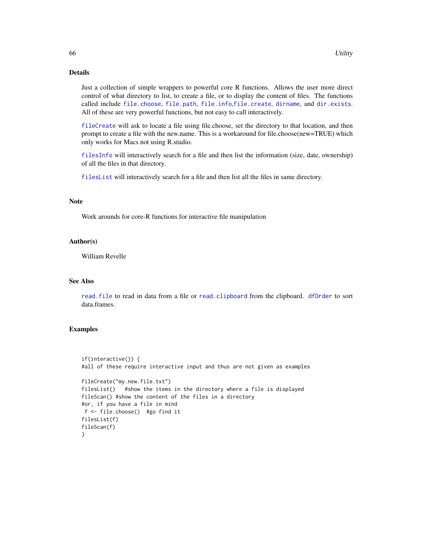### <span id="page-65-0"></span>Details

Just a collection of simple wrappers to powerful core R functions. Allows the user more direct control of what directory to list, to create a file, or to display the content of files. The functions called include [file.choose](#page-0-0), [file.path](#page-0-0), [file.info](#page-0-0),[file.create](#page-0-0), [dirname](#page-0-0), and [dir.exists](#page-0-0). All of these are very powerful functions, but not easy to call interactively.

[fileCreate](#page-64-1) will ask to locate a file using file.choose, set the directory to that location, and then prompt to create a file with the new.name. This is a workaround for file.choose(new=TRUE) which only works for Macs not using R.studio.

[filesInfo](#page-64-1) will interactively search for a file and then list the information (size, date, ownership) of all the files in that directory.

[filesList](#page-64-1) will interactively search for a file and then list all the files in same directory.

### Note

Work arounds for core-R functions for interactive file manipulation

#### Author(s)

William Revelle

## See Also

[read.file](#page-50-1) to read in data from a file or [read.clipboard](#page-50-2) from the clipboard. [dfOrder](#page-17-1) to sort data.frames.

#### Examples

```
if(interactive()) {
#all of these require interactive input and thus are not given as examples
fileCreate("my.new.file.txt")
filesList() #show the items in the directory where a file is displayed
fileScan() #show the content of the files in a directory
#or, if you have a file in mind
f <- file.choose() #go find it
filesList(f)
fileScan(f)
}
```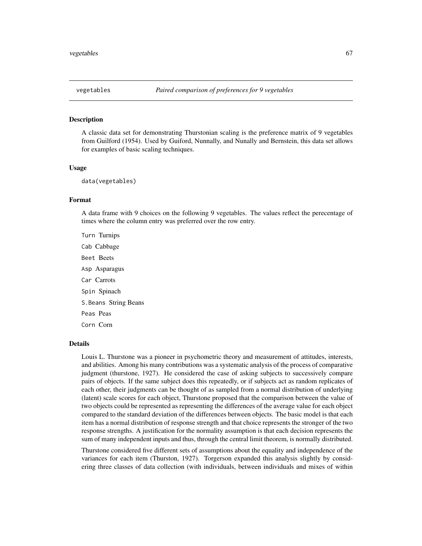#### <span id="page-66-0"></span>Description

A classic data set for demonstrating Thurstonian scaling is the preference matrix of 9 vegetables from Guilford (1954). Used by Guiford, Nunnally, and Nunally and Bernstein, this data set allows for examples of basic scaling techniques.

#### Usage

data(vegetables)

#### Format

A data frame with 9 choices on the following 9 vegetables. The values reflect the perecentage of times where the column entry was preferred over the row entry.

Turn Turnips Cab Cabbage Beet Beets Asp Asparagus Car Carrots Spin Spinach S.Beans String Beans Peas Peas Corn Corn

#### Details

Louis L. Thurstone was a pioneer in psychometric theory and measurement of attitudes, interests, and abilities. Among his many contributions was a systematic analysis of the process of comparative judgment (thurstone, 1927). He considered the case of asking subjects to successively compare pairs of objects. If the same subject does this repeatedly, or if subjects act as random replicates of each other, their judgments can be thought of as sampled from a normal distribution of underlying (latent) scale scores for each object, Thurstone proposed that the comparison between the value of two objects could be represented as representing the differences of the average value for each object compared to the standard deviation of the differences between objects. The basic model is that each item has a normal distribution of response strength and that choice represents the stronger of the two response strengths. A justification for the normality assumption is that each decision represents the sum of many independent inputs and thus, through the central limit theorem, is normally distributed.

Thurstone considered five different sets of assumptions about the equality and independence of the variances for each item (Thurston, 1927). Torgerson expanded this analysis slightly by considering three classes of data collection (with individuals, between individuals and mixes of within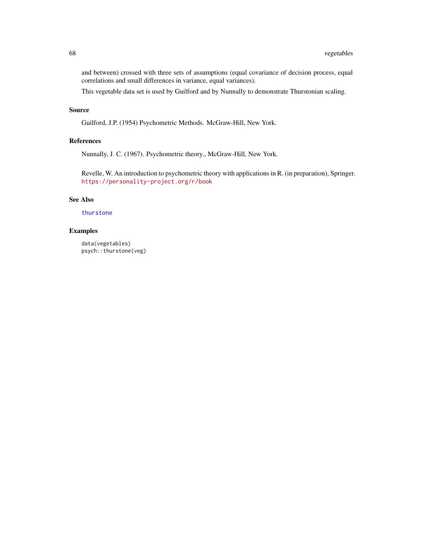<span id="page-67-0"></span>and between) crossed with three sets of assumptions (equal covariance of decision process, equal correlations and small differences in variance, equal variances).

This vegetable data set is used by Guilford and by Nunnally to demonstrate Thurstonian scaling.

## Source

Guilford, J.P. (1954) Psychometric Methods. McGraw-Hill, New York.

### References

Nunnally, J. C. (1967). Psychometric theory., McGraw-Hill, New York.

Revelle, W. An introduction to psychometric theory with applications in R. (in preparation), Springer. <https://personality-project.org/r/book>

#### See Also

### [thurstone](#page-0-0)

### Examples

data(vegetables) psych::thurstone(veg)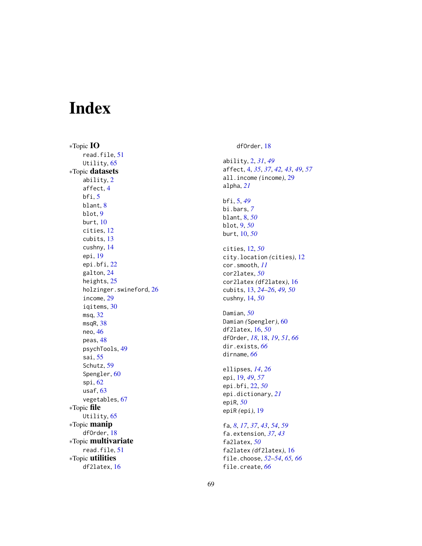# <span id="page-68-0"></span>Index

∗Topic IO read.file , [51](#page-50-0) Utility, [65](#page-64-0) ∗Topic datasets ability , [2](#page-1-0) affect , [4](#page-3-0) bfi , [5](#page-4-0) blant, [8](#page-7-0) blot , [9](#page-8-0) burt , [10](#page-9-0) cities , [12](#page-11-0) cubits , [13](#page-12-0) cushny , [14](#page-13-0) epi , [19](#page-18-0) epi.bfi , [22](#page-21-0) galton , [24](#page-23-0) heights, [25](#page-24-0) holzinger.swineford , [26](#page-25-0) income , [29](#page-28-0) iqitems , [30](#page-29-0) msq , [32](#page-31-0) msqR , [38](#page-37-0) neo , [46](#page-45-0) peas , [48](#page-47-0) psychTools , [49](#page-48-0) sai , [55](#page-54-0) Schutz, [59](#page-58-0) Spengler, [60](#page-59-0) spi , [62](#page-61-0) usaf , [63](#page-62-0) vegetables , [67](#page-66-0) ∗Topic file Utility, [65](#page-64-0) ∗Topic manip dfOrder , [18](#page-17-0) ∗Topic multivariate read.file , [51](#page-50-0) ∗Topic utilities df2latex , [16](#page-15-0)

dfOrder , [18](#page-17-0)

ability , [2](#page-1-0) , *[31](#page-30-0)* , *[49](#page-48-0)* affect , [4](#page-3-0) , *[35](#page-34-0)* , *[37](#page-36-0)* , *[42](#page-41-0) , [43](#page-42-0)* , *[49](#page-48-0)* , *[57](#page-56-0)* all.income *(*income *)* , [29](#page-28-0) alpha , *[21](#page-20-0)* bfi , [5](#page-4-0) , *[49](#page-48-0)* bi.bars , *[7](#page-6-0)* blant , [8](#page-7-0) , *[50](#page-49-0)* blot , [9](#page-8-0) , *[50](#page-49-0)* burt , [10](#page-9-0) , *[50](#page-49-0)* cities , [12](#page-11-0) , *[50](#page-49-0)* city.location *(*cities *)* , [12](#page-11-0) cor.smooth , *[11](#page-10-0)* cor2latex , *[50](#page-49-0)* cor2latex *(*df2latex *)* , [16](#page-15-0) cubits , [13](#page-12-0) , *[24](#page-23-0) [–26](#page-25-0)* , *[49](#page-48-0) , [50](#page-49-0)* cushny , [14](#page-13-0) , *[50](#page-49-0)* Damian , *[50](#page-49-0)* Damian *(*Spengler *)* , [60](#page-59-0) df2latex , [16](#page-15-0) , *[50](#page-49-0)* dfOrder , *[18](#page-17-0)* , [18](#page-17-0) , *[19](#page-18-0)* , *[51](#page-50-0)* , *[66](#page-65-0)* dir.exists , *[66](#page-65-0)* dirname , *[66](#page-65-0)* ellipses , *[14](#page-13-0)* , *[26](#page-25-0)* epi , [19](#page-18-0) , *[49](#page-48-0)* , *[57](#page-56-0)* epi.bfi , [22](#page-21-0) , *[50](#page-49-0)* epi.dictionary , *[21](#page-20-0)* epiR , *[50](#page-49-0)* epiR *(*epi *)* , [19](#page-18-0) fa , *[8](#page-7-0)* , *[17](#page-16-0)* , *[37](#page-36-0)* , *[43](#page-42-0)* , *[54](#page-53-0)* , *[59](#page-58-0)* fa.extension , *[37](#page-36-0)* , *[43](#page-42-0)* fa2latex , *[50](#page-49-0)* fa2latex *(*df2latex *)* , [16](#page-15-0) file.choose , *[52](#page-51-0) [–54](#page-53-0)* , *[65](#page-64-0) , [66](#page-65-0)*

file.create , *[66](#page-65-0)*